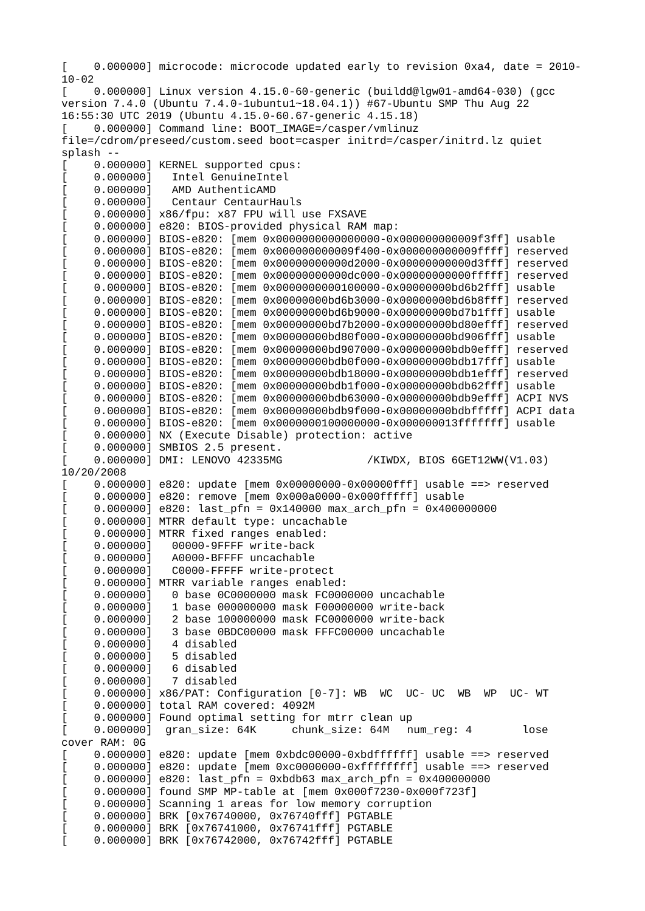[ 0.000000] microcode: microcode updated early to revision 0xa4, date = 2010- 10-02 [ 0.000000] Linux version 4.15.0-60-generic (buildd@lgw01-amd64-030) (gcc version 7.4.0 (Ubuntu 7.4.0-1ubuntu1~18.04.1)) #67-Ubuntu SMP Thu Aug 22 16:55:30 UTC 2019 (Ubuntu 4.15.0-60.67-generic 4.15.18) [ 0.000000] Command line: BOOT\_IMAGE=/casper/vmlinuz file=/cdrom/preseed/custom.seed boot=casper initrd=/casper/initrd.lz quiet splash -- 0.000000] KERNEL supported cpus: 0.000000<sup>1</sup> Intel GenuineIntel  $[ 0.000000]$  AMD AuthenticAMD<br> $[ 0.0000000]$  Centaur CentaurH Centaur Centaur Hauls 0.000000] x86/fpu: x87 FPU will use FXSAVE 0.000000] e820: BIOS-provided physical RAM map: [ 0.000000] BIOS-e820: [mem 0x0000000000000000-0x000000000009f3ff] usable [ 0.000000] BIOS-e820: [mem 0x000000000009f400-0x000000000009ffff] reserved [ 0.000000] BIOS-e820: [mem 0x00000000000d2000-0x00000000000d3fff] reserved [ 0.000000] BIOS-e820: [mem 0x00000000000dc000-0x00000000000fffff] reserved [ 0.000000] BIOS-e820: [mem 0x0000000000100000-0x00000000bd6b2fff] usable [ 0.000000] BIOS-e820: [mem 0x00000000bd6b3000-0x00000000bd6b8fff] reserved 0.000000] BIOS-e820: [mem 0x00000000bd6b9000-0x00000000bd7b1fff] usable [ 0.000000] BIOS-e820: [mem 0x00000000bd7b2000-0x00000000bd80efff] reserved [ 0.000000] BIOS-e820: [mem 0x00000000bd80f000-0x00000000bd906fff] usable [ 0.000000] BIOS-e820: [mem 0x00000000bd907000-0x00000000bdb0efff] reserved [ 0.000000] BIOS-e820: [mem 0x00000000bdb0f000-0x00000000bdb17fff] usable [ 0.000000] BIOS-e820: [mem 0x00000000bdb18000-0x00000000bdb1efff] reserved [ 0.000000] BIOS-e820: [mem 0x00000000bdb1f000-0x00000000bdb62fff] usable [ 0.000000] BIOS-e820: [mem 0x00000000bdb63000-0x00000000bdb9efff] ACPI NVS [ 0.000000] BIOS-e820: [mem 0x00000000bdb9f000-0x00000000bdbfffff] ACPI data [ 0.000000] BIOS-e820: [mem 0x0000000100000000-0x000000013fffffff] usable 0.000000] NX (Execute Disable) protection: active  $0.000000$ ] SMBIOS 2.5 present. 0.000000<sup>1</sup> DMI: LENOVO 42335MG /KIWDX, BIOS 6GET12WW(V1.03) 10/20/2008 [ 0.000000] e820: update [mem 0x00000000-0x00000fff] usable ==> reserved 0.000000] e820: remove [mem 0x000a0000-0x000fffff] usable  $0.000000$ ] e820: last\_pfn = 0x140000 max\_arch\_pfn = 0x400000000 0.000000] MTRR default type: uncachable 0.000000] MTRR fixed ranges enabled: 0.000000] 00000-9FFFF write-back 0.0000000 A0000-BFFFF uncachable 0.000000] C0000-FFFFF write-protect 0.000000] MTRR variable ranges enabled: 0.000000] 0 base 0C0000000 mask FC0000000 uncachable<br>0.000000] 1 base 000000000 mask F00000000 write-back [ 0.000000] 1 base 000000000 mask F00000000 write-back [ 0.000000] 2 base 100000000 mask FC0000000 write-back [ 0.000000] 3 base 0BDC00000 mask FFFC00000 uncachable [ 0.000000] 4 disabled 0.000000] 5 disabled<br>0.000000] 6 disabled 6 disabled<br>7 disabled  $0.000000]$  $0.000000$ ] x86/PAT: Configuration  $[0-7]$ : WB WC UC- UC WB WP UC- WT 0.000000] total RAM covered: 4092M 0.000000] Found optimal setting for mtrr clean up  $\begin{bmatrix} 0.000000 \end{bmatrix}$  gran\_size: 64K chunk\_size: 64M num\_reg: 4 lose cover RAM: 0G [ 0.000000] e820: update [mem 0xbdc00000-0xbdffffff] usable ==> reserved 0.000000] e820: update [mem 0xc0000000-0xffffffff] usable ==> reserved  $0.000000$ ] e820: last\_pfn = 0xbdb63 max\_arch\_pfn = 0x400000000  $0.000000$ ] found SMP MP-table at [mem  $0 \times 000$ f7230-0x000f723f] 0.000000] Scanning 1 areas for low memory corruption 0.000000] BRK [0x76740000, 0x76740fff] PGTABLE [ 0.000000] BRK [0x76741000, 0x76741fff] PGTABLE [ 0.000000] BRK [0x76742000, 0x76742fff] PGTABLE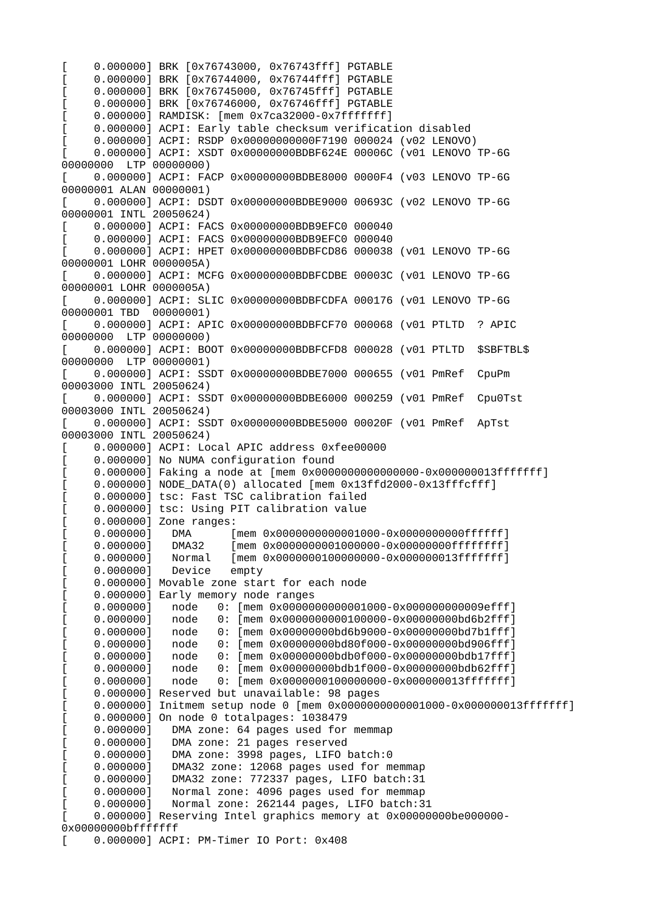[ 0.000000] BRK [0x76743000, 0x76743fff] PGTABLE [ 0.000000] BRK [0x76744000, 0x76744fff] PGTABLE [ 0.000000] BRK [0x76745000, 0x76745fff] PGTABLE [ 0.000000] BRK [0x76746000, 0x76746fff] PGTABLE 0.000000] RAMDISK: [mem 0x7ca32000-0x7fffffff] 0.000000] ACPI: Early table checksum verification disabled [ 0.000000] ACPI: RSDP 0x00000000000F7190 000024 (v02 LENOVO) [ 0.000000] ACPI: XSDT 0x00000000BDBF624E 00006C (v01 LENOVO TP-6G 00000000 LTP 00000000) [ 0.000000] ACPI: FACP 0x00000000BDBE8000 0000F4 (v03 LENOVO TP-6G 00000001 ALAN 00000001) [ 0.000000] ACPI: DSDT 0x00000000BDBE9000 00693C (v02 LENOVO TP-6G 00000001 INTL 20050624) [ 0.000000] ACPI: FACS 0x00000000BDB9EFC0 000040 0.000000] ACPI: FACS 0x00000000BDB9EFC0 000040 [ 0.000000] ACPI: HPET 0x00000000BDBFCD86 000038 (v01 LENOVO TP-6G 00000001 LOHR 0000005A) [ 0.000000] ACPI: MCFG 0x00000000BDBFCDBE 00003C (v01 LENOVO TP-6G 00000001 LOHR 0000005A) [ 0.000000] ACPI: SLIC 0x00000000BDBFCDFA 000176 (v01 LENOVO TP-6G 00000001 TBD 00000001) [ 0.000000] ACPI: APIC 0x00000000BDBFCF70 000068 (v01 PTLTD ? APIC 00000000 LTP 00000000) [ 0.000000] ACPI: BOOT 0x00000000BDBFCFD8 000028 (v01 PTLTD \$SBFTBL\$ 00000000 LTP 00000001) [ 0.000000] ACPI: SSDT 0x00000000BDBE7000 000655 (v01 PmRef CpuPm 00003000 INTL 20050624) [ 0.000000] ACPI: SSDT 0x00000000BDBE6000 000259 (v01 PmRef Cpu0Tst 00003000 INTL 20050624) [ 0.000000] ACPI: SSDT 0x00000000BDBE5000 00020F (v01 PmRef ApTst 00003000 INTL 20050624) 0.000000] ACPI: Local APIC address 0xfee00000 0.000000] No NUMA configuration found 0.0000001 Faking a node at [mem 0x00000000000000000-0x0000000013fffffff] [ 0.000000] NODE\_DATA(0) allocated [mem 0x13ffd2000-0x13fffcfff] 0.000000] tsc: Fast TSC calibration failed [ 0.000000] tsc: Using PIT calibration value [ 0.000000] Zone ranges: 0.000000] DMA [mem 0x00000000000001000-0x0000000000ffffff] 0.000000] DMA32 [mem 0x0000000000000000-0x00000000ffffffff]<br>0.000000] Normal [mem 0x00000000100000000-0x000000013fffffff] [ 0.000000] Normal [mem 0x0000000100000000-0x000000013fffffff] 0.0000001 Device empty 0.000000] Movable zone start for each node 0.000000] Early memory node ranges [ 0.000000] node 0: [mem 0x0000000000001000-0x000000000009efff] [ 0.000000] node 0: [mem 0x0000000000100000-0x00000000bd6b2fff] [ 0.000000] node 0: [mem 0x00000000bd6b9000-0x00000000bd7b1fff] [ 0.000000] node 0: [mem 0x00000000bd80f000-0x00000000bd906fff]  $[ 0.000000]$  node 0: [mem 0x0000000bdb0f000-0x0000000bdb17fff]<br>0.000000] node 0: [mem 0x00000000bdb1f000-0x0000000bdb62fff]  $[ 0.000000]$  node 0:  $[$ mem 0x00000000bdb1f000-0x0000000bdb62fff $\bar{1}$ <br>0.000000] node 0: [mem 0x000000010000000-0x000000013fffffff] 0: [mem 0x00000001000000000-0x000000013fffffff] 0.000000] Reserved but unavailable: 98 pages [ 0.000000] Initmem setup node 0 [mem 0x0000000000001000-0x000000013fffffff] 0.000000] On node 0 totalpages: 1038479 0.000000] DMA zone: 64 pages used for memmap 0.000000] DMA zone: 21 pages reserved<br>0.000000] DMA zone: 3998 pages, LIFO l 0.000000] DMA zone: 3998 pages, LIFO batch:0<br>0.000000] DMA32 zone: 12068 pages used for m DMA32 zone: 12068 pages used for memmap 0.000000] DMA32 zone: 772337 pages, LIFO batch:31 0.000000] Normal zone: 4096 pages used for memmap 0.000000] Normal zone: 262144 pages, LIFO batch:31 [ 0.000000] Reserving Intel graphics memory at 0x00000000be000000- 0x00000000bfffffff [ 0.000000] ACPI: PM-Timer IO Port: 0x408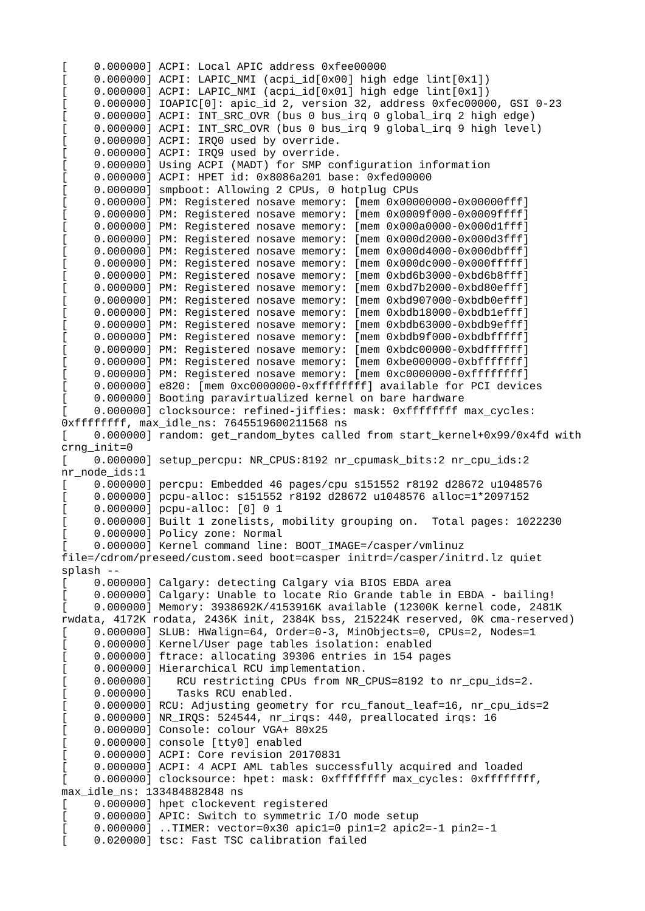0.000000] ACPI: Local APIC address 0xfee00000 [ 0.000000] ACPI: LAPIC\_NMI (acpi\_id[0x00] high edge lint[0x1]) [ 0.000000] ACPI: LAPIC\_NMI (acpi\_id[0x01] high edge lint[0x1]) [ 0.000000] IOAPIC[0]: apic\_id 2, version 32, address 0xfec00000, GSI 0-23 [ 0.000000] ACPI: INT\_SRC\_OVR (bus 0 bus\_irq 0 global\_irq 2 high edge) [ 0.000000] ACPI: INT\_SRC\_OVR (bus 0 bus\_irq 9 global\_irq 9 high level) [ 0.000000] ACPI: IRQ0 used by override. [ 0.000000] ACPI: IRQ9 used by override. [ 0.000000] Using ACPI (MADT) for SMP configuration information [ 0.000000] ACPI: HPET id: 0x8086a201 base: 0xfed00000 0.000000] smpboot: Allowing 2 CPUs, 0 hotplug CPUs 0.000000] PM: Registered nosave memory: [mem 0x00000000-0x00000fff] 0.000000] PM: Registered nosave memory: [mem 0x0009f000-0x0009ffff]  $0.000000$ ] PM: Registered nosave memory: [mem 0x000a0000-0x000d1fff] 0.000000] PM: Registered nosave memory: [mem 0x000d2000-0x000d3fff] 0.000000] PM: Registered nosave memory: [mem 0x000d4000-0x000dbfff] 0.000000] PM: Registered nosave memory: [mem 0x000dc000-0x000fffff] 0.000000] PM: Registered nosave memory: [mem 0xbd6b3000-0xbd6b8fff] 0.000000] PM: Registered nosave memory: [mem 0xbd7b2000-0xbd80efff] [ 0.000000] PM: Registered nosave memory: [mem 0xbd907000-0xbdb0efff] 0.000000] PM: Registered nosave memory: [mem 0xbdb18000-0xbdb1efff] [ 0.000000] PM: Registered nosave memory: [mem 0xbdb63000-0xbdb9efff] 0.000000] PM: Registered nosave memory: [mem 0xbdb9f000-0xbdbfffff] 0.000000] PM: Registered nosave memory: [mem 0xbdc00000-0xbdffffff] [ 0.000000] PM: Registered nosave memory: [mem 0xbe000000-0xbfffffff] [ 0.000000] PM: Registered nosave memory: [mem 0xc0000000-0xffffffff] [ 0.000000] e820: [mem 0xc0000000-0xffffffff] available for PCI devices 0.000000] Booting paravirtualized kernel on bare hardware 0.000000] clocksource: refined-jiffies: mask: 0xffffffff max\_cycles: 0xffffffff, max\_idle\_ns: 7645519600211568 ns [ 0.000000] random: get\_random\_bytes called from start\_kernel+0x99/0x4fd with crng\_init=0 [ 0.000000] setup\_percpu: NR\_CPUS:8192 nr\_cpumask\_bits:2 nr\_cpu\_ids:2 nr\_node\_ids:1 [ 0.000000] percpu: Embedded 46 pages/cpu s151552 r8192 d28672 u1048576 [ 0.000000] pcpu-alloc: s151552 r8192 d28672 u1048576 alloc=1\*2097152 [ 0.000000] pcpu-alloc: [0] 0 1 [ 0.000000] Built 1 zonelists, mobility grouping on. Total pages: 1022230 0.0000001 Policy zone: Normal [ 0.000000] Kernel command line: BOOT\_IMAGE=/casper/vmlinuz file=/cdrom/preseed/custom.seed boot=casper initrd=/casper/initrd.lz quiet splash -- 0.000000] Calgary: detecting Calgary via BIOS EBDA area [ 0.000000] Calgary: Unable to locate Rio Grande table in EBDA - bailing! [ 0.000000] Memory: 3938692K/4153916K available (12300K kernel code, 2481K rwdata, 4172K rodata, 2436K init, 2384K bss, 215224K reserved, 0K cma-reserved) [ 0.000000] SLUB: HWalign=64, Order=0-3, MinObjects=0, CPUs=2, Nodes=1 [ 0.000000] Kernel/User page tables isolation: enabled 0.000000] ftrace: allocating 39306 entries in 154 pages 0.000000] Hierarchical RCU implementation.<br>0.000000] RCU restricting CPUs from NR\_0 0.000000] RCU restricting CPUs from NR\_CPUS=8192 to nr\_cpu\_ids=2.<br>0.000000] Tasks RCU enabled. Tasks RCU enabled. 0.000000] RCU: Adjusting geometry for rcu\_fanout\_leaf=16, nr\_cpu\_ids=2 0.000000] NR\_IRQS: 524544, nr\_irqs: 440, preallocated irqs: 16 [ 0.000000] Console: colour VGA+ 80x25 0.000000] console [tty0] enabled [ 0.000000] ACPI: Core revision 20170831 0.000000] ACPI: 4 ACPI AML tables successfully acquired and loaded 0.000000] clocksource: hpet: mask: 0xffffffff max\_cycles: 0xffffffff, max\_idle\_ns: 133484882848 ns 0.000000] hpet clockevent registered [ 0.000000] APIC: Switch to symmetric I/O mode setup [ 0.000000] ..TIMER: vector=0x30 apic1=0 pin1=2 apic2=-1 pin2=-1 [ 0.020000] tsc: Fast TSC calibration failed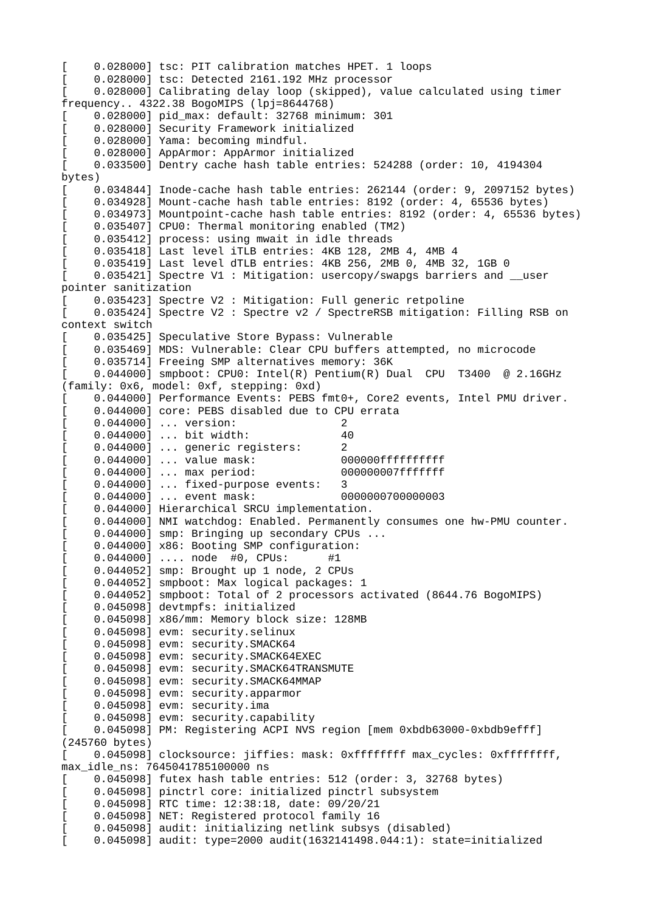[ 0.028000] tsc: PIT calibration matches HPET. 1 loops [ 0.028000] tsc: Detected 2161.192 MHz processor [ 0.028000] Calibrating delay loop (skipped), value calculated using timer frequency.. 4322.38 BogoMIPS (lpj=8644768) [ 0.028000] pid\_max: default: 32768 minimum: 301 [ 0.028000] Security Framework initialized [ 0.028000] Yama: becoming mindful. [ 0.028000] AppArmor: AppArmor initialized [ 0.033500] Dentry cache hash table entries: 524288 (order: 10, 4194304 bytes) 0.034844] Inode-cache hash table entries: 262144 (order: 9, 2097152 bytes) 0.034928] Mount-cache hash table entries: 8192 (order: 4, 65536 bytes) [ 0.034973] Mountpoint-cache hash table entries: 8192 (order: 4, 65536 bytes) 0.035407] CPU0: Thermal monitoring enabled (TM2) 0.035412] process: using mwait in idle threads 0.035418] Last level iTLB entries: 4KB 128, 2MB 4, 4MB 4 [ 0.035419] Last level dTLB entries: 4KB 256, 2MB 0, 4MB 32, 1GB 0 [ 0.035421] Spectre V1 : Mitigation: usercopy/swapgs barriers and \_\_user pointer sanitization [ 0.035423] Spectre V2 : Mitigation: Full generic retpoline [ 0.035424] Spectre V2 : Spectre v2 / SpectreRSB mitigation: Filling RSB on context switch 0.035425] Speculative Store Bypass: Vulnerable [ 0.035469] MDS: Vulnerable: Clear CPU buffers attempted, no microcode 0.035714] Freeing SMP alternatives memory: 36K  $0.044000$ ] smpboot: CPU0: Intel(R) Pentium(R) Dual CPU T3400 @ 2.16GHz (family: 0x6, model: 0xf, stepping: 0xd) 0.044000] Performance Events: PEBS fmt0+, Core2 events, Intel PMU driver. 0.044000] core: PEBS disabled due to CPU errata  $[ 0.044000]$  ... version: 2<br> $[ 0.044000]$  ... bit width: 40  $[0.044000]$  ... bit width:  $[0.044000]$  ... generic registers:  $[2.0000]$ [ 0.044000] ... generic registers: 2 [ 0.044000] ... value mask: 000000ffffffffff [ 0.044000] ... max period: 000000007fffffff [ 0.044000] ... fixed-purpose events: 3 [ 0.044000] ... event mask: 0000000700000003 [ 0.044000] Hierarchical SRCU implementation. 0.044000] NMI watchdog: Enabled. Permanently consumes one hw-PMU counter. [ 0.044000] smp: Bringing up secondary CPUs ... [ 0.044000] x86: Booting SMP configuration:  $[ 0.044000]$  .... node  $\text{H0}$ , CPUs: [ 0.044052] smp: Brought up 1 node, 2 CPUs [ 0.044052] smpboot: Max logical packages: 1 [ 0.044052] smpboot: Total of 2 processors activated (8644.76 BogoMIPS) [ 0.045098] devtmpfs: initialized [ 0.045098] x86/mm: Memory block size: 128MB 0.045098] evm: security.selinux  $\begin{bmatrix} 0.045098 \end{bmatrix}$  evm: security.SMACK64 0.045098] evm: security.SMACK64EXEC 0.045098] evm: security.SMACK64TRANSMUTE 0.045098] evm: security.SMACK64MMAP 0.045098] evm: security.apparmor 0.045098] evm: security.ima 0.045098] evm: security.capability [ 0.045098] PM: Registering ACPI NVS region [mem 0xbdb63000-0xbdb9efff] (245760 bytes) [ 0.045098] clocksource: jiffies: mask: 0xffffffff max\_cycles: 0xffffffff, max\_idle\_ns: 7645041785100000 ns [ 0.045098] futex hash table entries: 512 (order: 3, 32768 bytes) 0.045098] pinctrl core: initialized pinctrl subsystem [ 0.045098] RTC time: 12:38:18, date: 09/20/21 0.045098] NET: Registered protocol family 16 0.045098] audit: initializing netlink subsys (disabled) [ 0.045098] audit: type=2000 audit(1632141498.044:1): state=initialized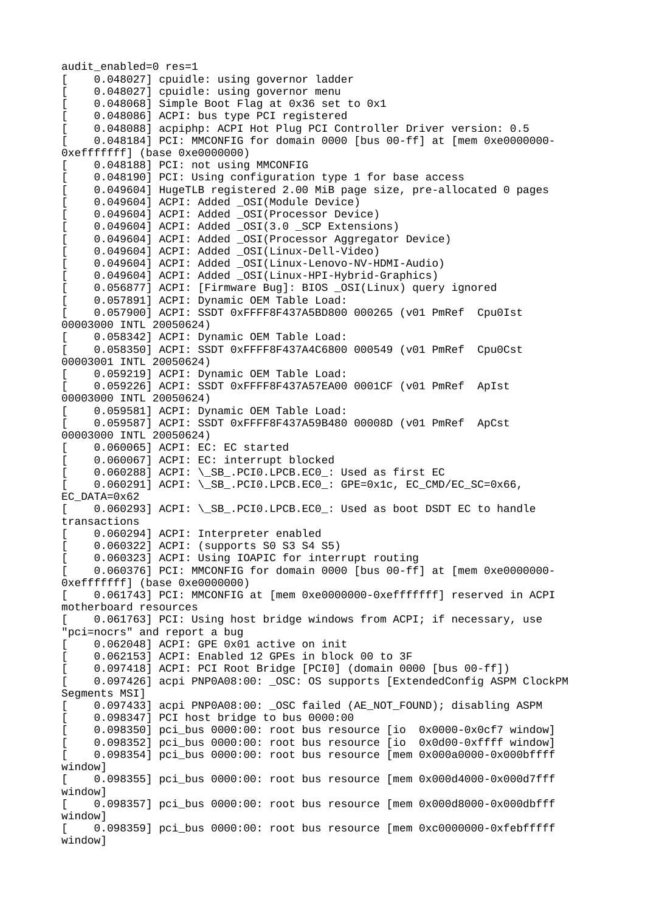audit\_enabled=0 res=1 0.048027] cpuidle: using governor ladder [ 0.048027] cpuidle: using governor menu [ 0.048068] Simple Boot Flag at 0x36 set to 0x1 0.048086] ACPI: bus type PCI registered [ 0.048088] acpiphp: ACPI Hot Plug PCI Controller Driver version: 0.5 [ 0.048184] PCI: MMCONFIG for domain 0000 [bus 00-ff] at [mem 0xe0000000- 0xefffffff] (base 0xe0000000) [ 0.048188] PCI: not using MMCONFIG 0.048190] PCI: Using configuration type 1 for base access [ 0.049604] HugeTLB registered 2.00 MiB page size, pre-allocated 0 pages 0.049604] ACPI: Added \_OSI(Module Device) [ 0.049604] ACPI: Added \_OSI(Processor Device) [ 0.049604] ACPI: Added \_OSI(3.0 \_SCP Extensions) [ 0.049604] ACPI: Added \_OSI(Processor Aggregator Device) [ 0.049604] ACPI: Added \_OSI(Linux-Dell-Video) [ 0.049604] ACPI: Added \_OSI(Linux-Lenovo-NV-HDMI-Audio) 0.049604] ACPI: Added \_OSI(Linux-HPI-Hybrid-Graphics) 0.056877] ACPI: [Firmware Bug]: BIOS \_OSI(Linux) query ignored 0.057891] ACPI: Dynamic OEM Table Load: 0.057900] ACPI: SSDT 0xFFFF8F437A5BD800 000265 (v01 PmRef Cpu0Ist 00003000 INTL 20050624) [ 0.058342] ACPI: Dynamic OEM Table Load: [ 0.058350] ACPI: SSDT 0xFFFF8F437A4C6800 000549 (v01 PmRef Cpu0Cst 00003001 INTL 20050624) 0.059219] ACPI: Dynamic OEM Table Load: [ 0.059226] ACPI: SSDT 0xFFFF8F437A57EA00 0001CF (v01 PmRef ApIst 00003000 INTL 20050624) 0.059581] ACPI: Dynamic OEM Table Load: [ 0.059587] ACPI: SSDT 0xFFFF8F437A59B480 00008D (v01 PmRef ApCst 00003000 INTL 20050624) [ 0.060065] ACPI: EC: EC started 0.060067] ACPI: EC: interrupt blocked  $0.060288$ ] ACPI: \\_SB\_.PCI0.LPCB.EC0\_: Used as first EC  $0.060291\overline{]}$  ACPI: \\_SB\_.PCI0.LPCB.EC0\_: GPE=0x1c, EC\_CMD/EC\_SC=0x66, EC\_DATA=0x62 [ 0.060293] ACPI: \\_SB\_.PCI0.LPCB.EC0\_: Used as boot DSDT EC to handle transactions 0.060294] ACPI: Interpreter enabled [ 0.060322] ACPI: (supports S0 S3 S4 S5) 0.060323] ACPI: Using IOAPIC for interrupt routing [ 0.060376] PCI: MMCONFIG for domain 0000 [bus 00-ff] at [mem 0xe0000000- 0xefffffff] (base 0xe0000000) [ 0.061743] PCI: MMCONFIG at [mem 0xe0000000-0xefffffff] reserved in ACPI motherboard resources [ 0.061763] PCI: Using host bridge windows from ACPI; if necessary, use "pci=nocrs" and report a bug  $[$  0.062048] ACPI: GPE 0x01 active on init [ 0.062153] ACPI: Enabled 12 GPEs in block 00 to 3F 0.097418] ACPI: PCI Root Bridge [PCI0] (domain 0000 [bus 00-ff]) [ 0.097426] acpi PNP0A08:00: \_OSC: OS supports [ExtendedConfig ASPM ClockPM Segments MSI] 0.097433] acpi PNP0A08:00: \_OSC failed (AE\_NOT\_FOUND); disabling ASPM  $[0.098347]$  PCI host bridge to bus  $0000:00$ 0.098350] pci\_bus 0000:00: root bus resource [io 0x0000-0x0cf7 window] 0.098352] pci\_bus 0000:00: root bus resource [io 0x0d00-0xffff window] [ 0.098354] pci\_bus 0000:00: root bus resource [mem 0x000a0000-0x000bffff window] [ 0.098355] pci\_bus 0000:00: root bus resource [mem 0x000d4000-0x000d7fff window] [ 0.098357] pci\_bus 0000:00: root bus resource [mem 0x000d8000-0x000dbfff window] [ 0.098359] pci\_bus 0000:00: root bus resource [mem 0xc0000000-0xfebfffff window]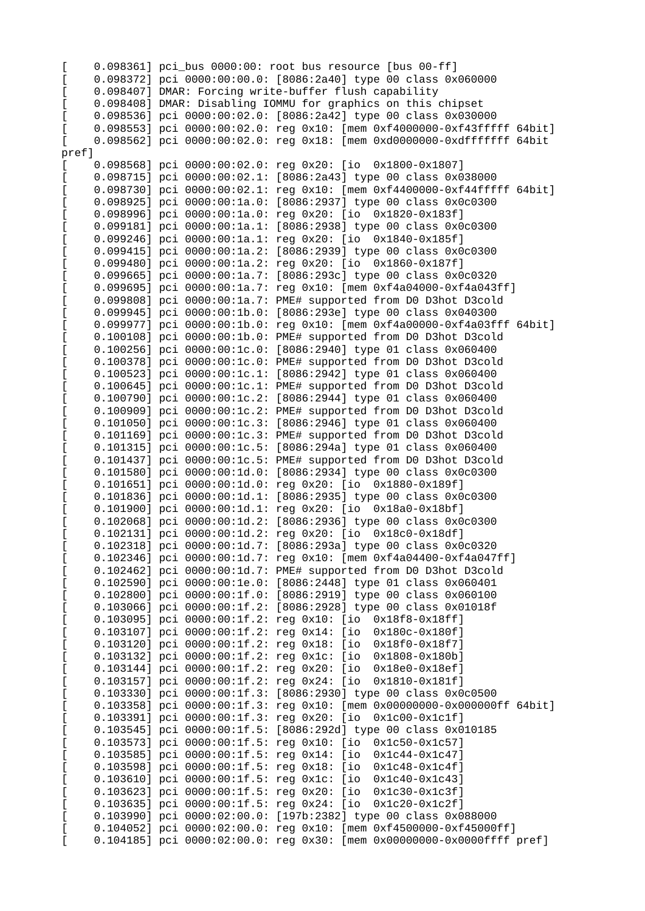| E      |                                                                        | 0.098361] pci_bus 0000:00: root bus resource [bus 00-ff]                   |
|--------|------------------------------------------------------------------------|----------------------------------------------------------------------------|
|        |                                                                        | 0.098372] pci 0000:00:00.0: [8086:2a40] type 00 class 0x060000             |
| L      |                                                                        | 0.098407] DMAR: Forcing write-buffer flush capability                      |
| E      |                                                                        | 0.098408] DMAR: Disabling IOMMU for graphics on this chipset               |
|        |                                                                        | 0.098536] pci 0000:00:02.0: [8086:2a42] type 00 class 0x030000             |
|        |                                                                        | 0.098553] pci 0000:00:02.0: reg 0x10: [mem 0xf4000000-0xf43fffff 64bit]    |
| L      |                                                                        | 0.098562] pci 0000:00:02.0: reg 0x18: [mem 0xd0000000-0xdfffffff 64bit     |
| pref]  |                                                                        |                                                                            |
| L      |                                                                        | 0.098568] pci 0000:00:02.0: reg 0x20: [io 0x1800-0x1807]                   |
| E      | $0.098715$ ] pci $0000:00:02.1$ :                                      | [8086:2a43] type 00 class 0x038000                                         |
| E      | $0.098730$ ] pci $0000:00:02.1$ :                                      | reg 0x10: [mem 0xf4400000-0xf44fffff 64bit]                                |
| L      | $0.098925$ ] pci $0000:00:1a.0$ :                                      | [8086:2937] type 00 class 0x0c0300                                         |
| L      | $0.098996$ ] pci $0000:00:1a.0$ :                                      | reg 0x20: [io 0x1820-0x183f]                                               |
| L      | $0.099181$ ] pci $0000:00:1a.1$ :                                      | [8086:2938] type 00 class 0x0c0300                                         |
| [      | $0.099246$ ] pci $0000:00:1a.1$ :<br>$0.099415$ ] pci $0000:00:1a.2$ : | reg 0x20: [io 0x1840-0x185f]                                               |
|        | $0.099480$ ] pci $0000:00:1a.2$ :                                      | [8086:2939] type 00 class 0x0c0300<br>reg 0x20: [io 0x1860-0x187f]         |
| E      | $0.099665$ ] pci $0000:00:1a.7$ :                                      | [8086:293c] type 00 class 0x0c0320                                         |
| E      | $0.099695$ ] pci $0000:00:1a.7$ :                                      | reg 0x10: [mem 0xf4a04000-0xf4a043ff]                                      |
| [      | $0.099808$ ] pci $0000:00:1a.7$ :                                      | PME# supported from D0 D3hot D3cold                                        |
| [      | $0.099945$ ] pci $0000:00:1b.0$ :                                      | [8086:293e] type 00 class 0x040300                                         |
| L      | $0.099977$ ] pci $0000:00:1b.0$ :                                      | reg 0x10: [mem 0xf4a00000-0xf4a03fff 64bit]                                |
| L      | $0.100108$ ] pci $0000:00:1b.0$ :                                      | PME# supported from D0 D3hot D3cold                                        |
| E      | $0.100256$ ] pci $0000:00:1c.0$ :                                      | [8086:2940] type 01 class 0x060400                                         |
|        | $0.100378$ ] pci $0000:00:1c.0$ :                                      | PME# supported from D0 D3hot D3cold                                        |
|        | $0.100523$ ] pci $0000:00:1c.1$ :                                      | [8086:2942] type 01 class 0x060400                                         |
| E      |                                                                        | 0.100645] pci 0000:00:1c.1: PME# supported from D0 D3hot D3cold            |
| E      | $0.100790$ ] pci $0000:00:1c.2$ :                                      | [8086:2944] type 01 class 0x060400                                         |
| E      |                                                                        | 0.100909] pci 0000:00:1c.2: PME# supported from D0 D3hot D3cold            |
| E      | $0.101050$ ] pci $0000:00:1c.3$ :                                      | [8086:2946] type 01 class 0x060400                                         |
| L      | $0.101169$ ] pci $0000:00:1c.3$ :                                      | PME# supported from D0 D3hot D3cold                                        |
| E      | $0.101315$ ] pci $0000:00:1c.5$ :                                      | [8086:294a] type 01 class 0x060400                                         |
|        | $0.101437$ ] pci $0000:00:1c.5$ :                                      | PME# supported from D0 D3hot D3cold                                        |
|        | $0.101580$ ] pci $0000:00:1d.0$ :                                      | [8086:2934] type 00 class 0x0c0300                                         |
|        | $0.101651$ ] pci $0000:00:1d.0$ :                                      | reg 0x20: [io 0x1880-0x189f]                                               |
| [      | $0.101836$ ] pci $0000:00:1d.1$ :                                      | [8086:2935] type 00 class 0x0c0300                                         |
| [      | $0.101900$ ] pci $0000:00:1d.1$ :                                      | reg 0x20: [io 0x18a0-0x18bf]                                               |
| E      | $0.102068$ ] pci $0000:00:1d.2$ :                                      | [8086:2936] type 00 class 0x0c0300                                         |
|        | $0.102131]$ pci $0000:00:1d.2$ :                                       | reg 0x20: [io 0x18c0-0x18df]                                               |
|        | $0.102318$ ] pci 0000:00:1d.7:                                         | [8086:293a] type 00 class 0x0c0320                                         |
| E      |                                                                        | 0.102346] pci 0000:00:1d.7: reg 0x10: [mem 0xf4a04400-0xf4a047ff]          |
|        |                                                                        | 0.102462] pci 0000:00:1d.7: PME# supported from D0 D3hot D3cold            |
| L      | $0.102590$ ] pci $0000:00:1e.0$ :                                      | [8086:2448] type 01 class 0x060401                                         |
| E      | $0.102800$ ] pci $0000:00:1f.0$ :<br>$0.103066$ ] pci $0000:00:1f.2$ : | [8086:2919] type 00 class 0x060100<br>[8086:2928] type 00 class 0x01018f   |
|        | $0.103095$ ] pci $0000:00:1f.2$ :                                      | reg 0x10: [io 0x18f8-0x18ff]                                               |
| E      | $0.103107$ ] pci $0000:00:1f.2$ :                                      | reg 0x14: [io 0x180c-0x180f]                                               |
| E<br>E | $0.103120$ ] pci $0000:00:1f.2$ :                                      | reg 0x18: [io 0x18f0-0x18f7]                                               |
|        | $0.103132$ ] pci $0000:00:1f.2$ :                                      | reg 0x1c: [io 0x1808-0x180b]                                               |
| L      | $0.103144$ ] pci $0000:00:1f.2$ :                                      | reg 0x20: [io 0x18e0-0x18ef]                                               |
| L      | $0.103157$ ] pci $0000:00:1f.2$ :                                      | reg 0x24: [io<br>$0x1810 - 0x181f$ ]                                       |
| E      | $0.103330$ ] pci $0000:00:1f.3$ :                                      | [8086:2930] type 00 class 0x0c0500                                         |
| L      |                                                                        | $0.103358$ ] pci 0000:00:1f.3: reg 0x10: [mem 0x00000000-0x000000ff 64bit] |
| L      | $0.103391$ ] pci $0000:00:1$ f.3:                                      | reg 0x20: [io<br>$0x1c00-0x1c1f$ ]                                         |
| [      | $0.103545$ ] pci $0000:00:1f.5$ :                                      | [8086:292d] type 00 class 0x010185                                         |
| [      | $0.103573$ ] pci $0000:00:1f.5$ :                                      | reg 0x10: [io<br>$0x1c50 - 0x1c57$ ]                                       |
| E      | $0.103585$ ] pci $0000:00:1$ f.5:                                      | reg 0x14: [io<br>$0x1c44 - 0x1c47$ ]                                       |
| L      | $0.103598$ ] pci $0000:00:1f.5$ :                                      | reg 0x18: [io 0x1c48-0x1c4f]                                               |
| L      | $0.103610$ ] pci $0000:00:1f.5$ :                                      | reg 0x1c: [io 0x1c40-0x1c43]                                               |
| L      | $0.103623$ ] pci $0000:00:1f.5$ :                                      | $reg$ $0x20$ :<br>$[io$ $0x1c30-0x1c3f]$                                   |
| [      | $0.103635$ ] pci $0000:00:1f.5$ :                                      | reg 0x24: [io<br>$0x1c20-0x1c2f$ ]                                         |
| L      | $0.103990$ ] pci $0000:02:00.0$ :                                      | [197b:2382] type 00 class 0x088000                                         |
|        |                                                                        | 0.104052] pci 0000:02:00.0: reg 0x10: [mem 0xf4500000-0xf45000ff]          |
|        |                                                                        | 0.104185] pci 0000:02:00.0: reg 0x30: [mem 0x00000000-0x0000ffff pref]     |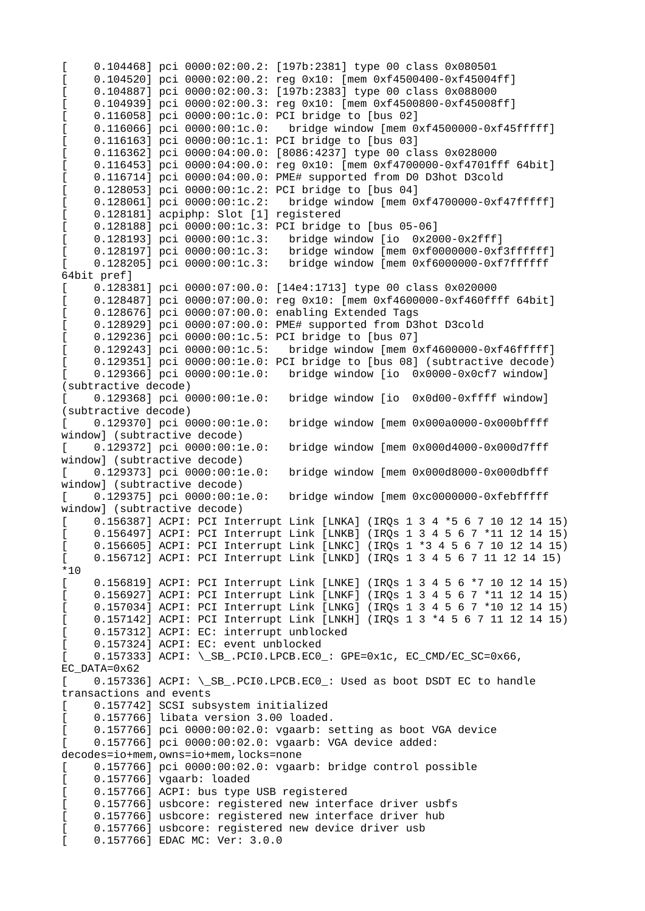0.104468] pci 0000:02:00.2: [197b:2381] type 00 class 0x080501 0.104520] pci 0000:02:00.2: reg 0x10: [mem 0xf4500400-0xf45004ff] [ 0.104887] pci 0000:02:00.3: [197b:2383] type 00 class 0x088000 [ 0.104939] pci 0000:02:00.3: reg 0x10: [mem 0xf4500800-0xf45008ff] 0.116058] pci 0000:00:1c.0: PCI bridge to [bus 02]<br>0.116066] pci 0000:00:1c.0: bridge window [mem 0  $bridge$  window  $[mem$   $Oxf4500000-0xf45fffff]$ [ 0.116163] pci 0000:00:1c.1: PCI bridge to [bus 03] [ 0.116362] pci 0000:04:00.0: [8086:4237] type 00 class 0x028000 [ 0.116453] pci 0000:04:00.0: reg 0x10: [mem 0xf4700000-0xf4701fff 64bit] [ 0.116714] pci 0000:04:00.0: PME# supported from D0 D3hot D3cold 0.128053] pci 0000:00:1c.2: PCI bridge to [bus 04]<br>0.128061] pci 0000:00:1c.2: bridge window [mem 0 bridge window [mem 0xf4700000-0xf47fffff] 0.128181] acpiphp: Slot [1] registered [ 0.128188] pci 0000:00:1c.3: PCI bridge to [bus 05-06] [ 0.128193] pci 0000:00:1c.3: bridge window [io 0x2000-0x2fff] [ 0.128197] pci 0000:00:1c.3: bridge window [mem 0xf0000000-0xf3ffffff] [ 0.128205] pci 0000:00:1c.3: bridge window [mem 0xf6000000-0xf7ffffff 64bit pref] [ 0.128381] pci 0000:07:00.0: [14e4:1713] type 00 class 0x020000 [ 0.128487] pci 0000:07:00.0: reg 0x10: [mem 0xf4600000-0xf460ffff 64bit] 0.128676] pci 0000:07:00.0: enabling Extended Tags [ 0.128929] pci 0000:07:00.0: PME# supported from D3hot D3cold 0.129236] pci 0000:00:1c.5: PCI bridge to [bus 07]<br>0.129243] pci 0000:00:1c.5: bridge window [mem 0 bridge window [mem 0xf4600000-0xf46fffff]  $0.129351$ ] pci 0000:00:1e.0: PCI bridge to [bus 08] (subtractive decode)<br>0.129366] pci 0000:00:1e.0: bridge window [io 0x0000-0x0cf7 window] bridge window [io 0x0000-0x0cf7 window] (subtractive decode)<br>[ 0.129368] pci 0000:00:1e.0: bridge window [io 0x0d00-0xffff window] (subtractive decode)<br>[ 0.129370] pci 0000:00:1e.0: bridge window [mem 0x000a0000-0x000bffff window] (subtractive decode)<br>[ 0.129372] pci 0000:00:1e.0: bridge window [mem 0x000d4000-0x000d7fff window] (subtractive decode)<br> $[$  0.129373] pci 0000:00:1e.0: bridge window [mem 0x000d8000-0x000dbfff window] (subtractive decode)<br>[ 0.129375] pci 0000:00:1e.0: bridge window [mem 0xc0000000-0xfebfffff window] (subtractive decode) [ 0.156387] ACPI: PCI Interrupt Link [LNKA] (IRQs 1 3 4 \*5 6 7 10 12 14 15) [ 0.156497] ACPI: PCI Interrupt Link [LNKB] (IRQs 1 3 4 5 6 7 \*11 12 14 15) [ 0.156605] ACPI: PCI Interrupt Link [LNKC] (IRQs 1 \*3 4 5 6 7 10 12 14 15) [ 0.156712] ACPI: PCI Interrupt Link [LNKD] (IRQs 1 3 4 5 6 7 11 12 14 15) \*10 [ 0.156819] ACPI: PCI Interrupt Link [LNKE] (IRQs 1 3 4 5 6 \*7 10 12 14 15) [ 0.156927] ACPI: PCI Interrupt Link [LNKF] (IRQs 1 3 4 5 6 7 \*11 12 14 15) [ 0.157034] ACPI: PCI Interrupt Link [LNKG] (IRQs 1 3 4 5 6 7 \*10 12 14 15) [ 0.157142] ACPI: PCI Interrupt Link [LNKH] (IRQs 1 3 \*4 5 6 7 11 12 14 15) 0.157312] ACPI: EC: interrupt unblocked [ 0.157324] ACPI: EC: event unblocked [ 0.157333] ACPI: \\_SB\_.PCI0.LPCB.EC0\_: GPE=0x1c, EC\_CMD/EC\_SC=0x66, EC\_DATA=0x62 [ 0.157336] ACPI: \\_SB\_.PCI0.LPCB.EC0\_: Used as boot DSDT EC to handle transactions and events 0.157742] SCSI subsystem initialized 0.157766] libata version 3.00 loaded. 0.157766] pci 0000:00:02.0: vgaarb: setting as boot VGA device 0.157766] pci 0000:00:02.0: vgaarb: VGA device added: decodes=io+mem,owns=io+mem,locks=none [ 0.157766] pci 0000:00:02.0: vgaarb: bridge control possible [ 0.157766] vgaarb: loaded [ 0.157766] ACPI: bus type USB registered 0.157766] usbcore: registered new interface driver usbfs 0.157766] usbcore: registered new interface driver hub 0.157766] usbcore: registered new device driver usb [ 0.157766] EDAC MC: Ver: 3.0.0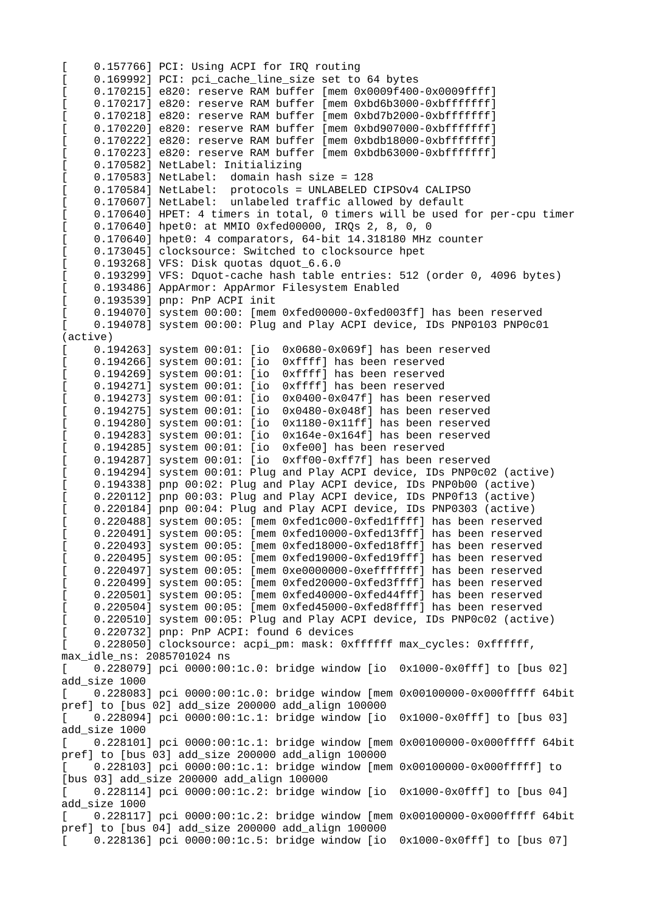0.157766] PCI: Using ACPI for IRQ routing [ 0.169992] PCI: pci\_cache\_line\_size set to 64 bytes [ 0.170215] e820: reserve RAM buffer [mem 0x0009f400-0x0009ffff] [ 0.170217] e820: reserve RAM buffer [mem 0xbd6b3000-0xbfffffff] [ 0.170218] e820: reserve RAM buffer [mem 0xbd7b2000-0xbfffffff]  $0.170220$ ] e820: reserve RAM buffer [mem 0xbd907000-0xbfffffff] 0.170222] e820: reserve RAM buffer [mem 0xbdb18000-0xbfffffff]  $0.170223$ ] e820: reserve RAM buffer [mem 0xbdb63000-0xbfffffff] 0.170582] NetLabel: Initializing  $0.170583$ ] NetLabel: domain hash size = 128 [ 0.170584] NetLabel: protocols = UNLABELED CIPSOv4 CALIPSO 0.170607] NetLabel: unlabeled traffic allowed by default [ 0.170640] HPET: 4 timers in total, 0 timers will be used for per-cpu timer 0.170640] hpet0: at MMIO 0xfed00000, IRQs 2, 8, 0, 0 0.170640] hpet0: 4 comparators, 64-bit 14.318180 MHz counter 0.173045] clocksource: Switched to clocksource hpet [ 0.193268] VFS: Disk quotas dquot\_6.6.0 [ 0.193299] VFS: Dquot-cache hash table entries: 512 (order 0, 4096 bytes) 0.193486] AppArmor: AppArmor Filesystem Enabled [ 0.193539] pnp: PnP ACPI init 0.194070] system 00:00: [mem 0xfed00000-0xfed003ff] has been reserved [ 0.194078] system 00:00: Plug and Play ACPI device, IDs PNP0103 PNP0c01 (active) 0.194263] system 00:01: [io 0x0680-0x069f] has been reserved 0.194266] system 00:01: [io 0xffff] has been reserved 0.194269] system 00:01: [io 0xffff] has been reserved 0.194271] system 00:01: [io 0xffff] has been reserved 0.194273] system 00:01: [io 0x0400-0x047f] has been reserved [ 0.194275] system 00:01: [io 0x0480-0x048f] has been reserved  $[ 0.194280]$  system  $00:01$ : [io  $0x1180-0x11$ ff] has been reserved  $0.194283$ ] system  $00:01$ : [io  $0x164e-0x164f$ ] has been reserved 0.194285] system 00:01: [io 0xfe00] has been reserved [ 0.194287] system 00:01: [io 0xff00-0xff7f] has been reserved [ 0.194294] system 00:01: Plug and Play ACPI device, IDs PNP0c02 (active) [ 0.194338] pnp 00:02: Plug and Play ACPI device, IDs PNP0b00 (active) [ 0.220112] pnp 00:03: Plug and Play ACPI device, IDs PNP0f13 (active) [ 0.220184] pnp 00:04: Plug and Play ACPI device, IDs PNP0303 (active) [ 0.220488] system 00:05: [mem 0xfed1c000-0xfed1ffff] has been reserved [ 0.220491] system 00:05: [mem 0xfed10000-0xfed13fff] has been reserved [ 0.220493] system 00:05: [mem 0xfed18000-0xfed18fff] has been reserved [ 0.220495] system 00:05: [mem 0xfed19000-0xfed19fff] has been reserved [ 0.220497] system 00:05: [mem 0xe0000000-0xefffffff] has been reserved [ 0.220499] system 00:05: [mem 0xfed20000-0xfed3ffff] has been reserved [ 0.220501] system 00:05: [mem 0xfed40000-0xfed44fff] has been reserved [ 0.220504] system 00:05: [mem 0xfed45000-0xfed8ffff] has been reserved 0.220510] system 00:05: Plug and Play ACPI device, IDs PNP0c02 (active) 0.220732] pnp: PnP ACPI: found 6 devices [ 0.228050] clocksource: acpi\_pm: mask: 0xffffff max\_cycles: 0xffffff, max\_idle\_ns: 2085701024 ns [ 0.228079] pci 0000:00:1c.0: bridge window [io 0x1000-0x0fff] to [bus 02] add\_size 1000 [ 0.228083] pci 0000:00:1c.0: bridge window [mem 0x00100000-0x000fffff 64bit pref] to [bus 02] add\_size 200000 add\_align 100000  $[$   $[$   $]$   $[$  0.228094] pci 0000:00:1c.1: bridge window [io 0x1000-0x0fff] to [bus 03] add\_size 1000 [ 0.228101] pci 0000:00:1c.1: bridge window [mem 0x00100000-0x000fffff 64bit pref] to [bus 03] add\_size 200000 add\_align 100000 0.228103] pci 0000:00:1c.1: bridge window [mem 0x00100000-0x000fffff] to [bus 03] add\_size 200000 add\_align 100000 [ 0.228114] pci 0000:00:1c.2: bridge window [io 0x1000-0x0fff] to [bus 04] add\_size 1000 [ 0.228117] pci 0000:00:1c.2: bridge window [mem 0x00100000-0x000fffff 64bit pref] to [bus 04] add\_size 200000 add\_align 100000 [ 0.228136] pci 0000:00:1c.5: bridge window [io 0x1000-0x0fff] to [bus 07]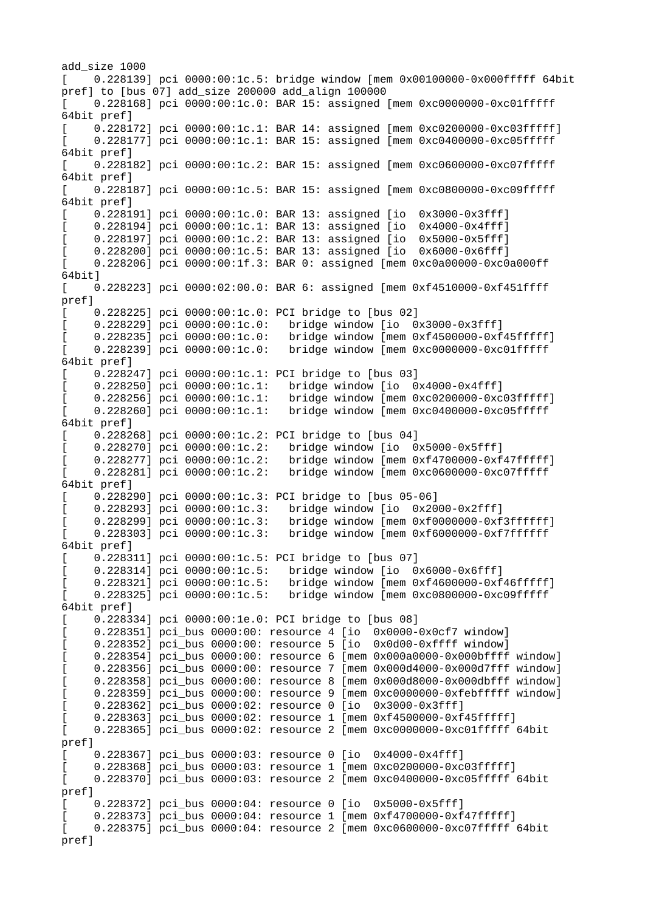add\_size 1000 [ 0.228139] pci 0000:00:1c.5: bridge window [mem 0x00100000-0x000fffff 64bit pref] to [bus 07] add\_size 200000 add\_align 100000 0.228168] pci 0000:00:1c.0: BAR 15: assigned [mem 0xc0000000-0xc01fffff 64bit pref] [ 0.228172] pci 0000:00:1c.1: BAR 14: assigned [mem 0xc0200000-0xc03fffff] [ 0.228177] pci 0000:00:1c.1: BAR 15: assigned [mem 0xc0400000-0xc05fffff 64bit pref] [ 0.228182] pci 0000:00:1c.2: BAR 15: assigned [mem 0xc0600000-0xc07fffff 64bit pref] [ 0.228187] pci 0000:00:1c.5: BAR 15: assigned [mem 0xc0800000-0xc09fffff 64bit pref] [ 0.228191] pci 0000:00:1c.0: BAR 13: assigned [io 0x3000-0x3fff] 0.228194] pci 0000:00:1c.1: BAR 13: assigned [io 0x4000-0x4fff] 0.228197] pci 0000:00:1c.2: BAR 13: assigned [io 0x5000-0x5fff] 0.228200] pci 0000:00:1c.5: BAR 13: assigned [io 0x6000-0x6fff] [ 0.228206] pci 0000:00:1f.3: BAR 0: assigned [mem 0xc0a00000-0xc0a000ff 64bit] [ 0.228223] pci 0000:02:00.0: BAR 6: assigned [mem 0xf4510000-0xf451ffff pref] [ 0.228225] pci 0000:00:1c.0: PCI bridge to [bus 02] 0.228229] pci 0000:00:1c.0: bridge window [io 0x3000-0x3fff]<br>0.228235] pci 0000:00:1c.0: bridge window [mem 0xf4500000-0xf 0.228235] pci 0000:00:1c.0: bridge window [mem 0xf4500000-0xf45fffff]<br>0.228239] pci 0000:00:1c.0: bridge window [mem 0xc0000000-0xc01fffff bridge window [mem 0xc0000000-0xc01fffff 64bit pref] 0.228247] pci 0000:00:1c.1: PCI bridge to [bus 03]<br>0.2282501 pci 0000:00:1c.1: bridge window [io 0 0.228250] pci 0000:00:1c.1: bridge window [io 0x4000-0x4fff]<br>0.228256] pci 0000:00:1c.1: bridge window [mem 0xc0200000-0xc 0.228256] pci 0000:00:1c.1: bridge window [mem 0xc0200000-0xc03fffff]<br>0.228260] pci 0000:00:1c.1: bridge window [mem 0xc0400000-0xc05fffff bridge window [mem 0xc0400000-0xc05fffff 64bit pref] 0.228268] pci 0000:00:1c.2: PCI bridge to [bus 04]<br>0.228270] pci 0000:00:1c.2: bridge window [io 0 0.228270] pci 0000:00:1c.2: bridge window [io 0x5000-0x5fff]<br>0.228277] pci 0000:00:1c.2: bridge window [mem 0xf4700000-0xf  $[ 0.228277]$  pci 0000:00:1c.2: bridge window [mem 0xf4700000-0xf47fffff]<br>0.228281] pci 0000:00:1c.2: bridge window [mem 0xc0600000-0xc07fffff bridge window [mem 0xc0600000-0xc07fffff 64bit pref] 0.228290] pci 0000:00:1c.3: PCI bridge to [bus 05-06]<br>0.228293] pci 0000:00:1c.3: bridge window [io 0x20 0.228293] pci 0000:00:1c.3: bridge window [io 0x2000-0x2fff]<br>0.228299] pci 0000:00:1c.3: bridge window [mem 0xf0000000-0xf 0.228299] pci 0000:00:1c.3: bridge window [mem 0xf0000000-0xf3ffffff]<br>0.228303] pci 0000:00:1c.3: bridge window [mem 0xf6000000-0xf7ffffff bridge window [mem 0xf6000000-0xf7ffffff 64bit pref] [ 0.228311] pci 0000:00:1c.5: PCI bridge to [bus 07] 0.228314] pci 0000:00:1c.5: bridge window [io 0x6000-0x6fff] [ 0.228321] pci 0000:00:1c.5: bridge window [mem 0xf4600000-0xf46fffff] [ 0.228325] pci 0000:00:1c.5: bridge window [mem 0xc0800000-0xc09fffff 64bit pref] [ 0.228334] pci 0000:00:1e.0: PCI bridge to [bus 08] [ 0.228351] pci\_bus 0000:00: resource 4 [io 0x0000-0x0cf7 window] [ 0.228352] pci\_bus 0000:00: resource 5 [io 0x0d00-0xffff window] [ 0.228354] pci\_bus 0000:00: resource 6 [mem 0x000a0000-0x000bffff window] [ 0.228356] pci\_bus 0000:00: resource 7 [mem 0x000d4000-0x000d7fff window] [ 0.228358] pci\_bus 0000:00: resource 8 [mem 0x000d8000-0x000dbfff window] [ 0.228359] pci\_bus 0000:00: resource 9 [mem 0xc0000000-0xfebfffff window] [ 0.228362] pci\_bus 0000:02: resource 0 [io 0x3000-0x3fff] 0.228363] pci\_bus 0000:02: resource 1 [mem 0xf4500000-0xf45fffff] [ 0.228365] pci\_bus 0000:02: resource 2 [mem 0xc0000000-0xc01fffff 64bit pref] 0.228367] pci\_bus 0000:03: resource 0 [io 0x4000-0x4fff] [ 0.228368] pci\_bus 0000:03: resource 1 [mem 0xc0200000-0xc03fffff] [ 0.228370] pci\_bus 0000:03: resource 2 [mem 0xc0400000-0xc05fffff 64bit pref] 0.228372] pci\_bus 0000:04: resource 0 [io 0x5000-0x5fff] 0.228373] pci\_bus 0000:04: resource 1 [mem 0xf4700000-0xf47fffff] [ 0.228375] pci\_bus 0000:04: resource 2 [mem 0xc0600000-0xc07fffff 64bit pref]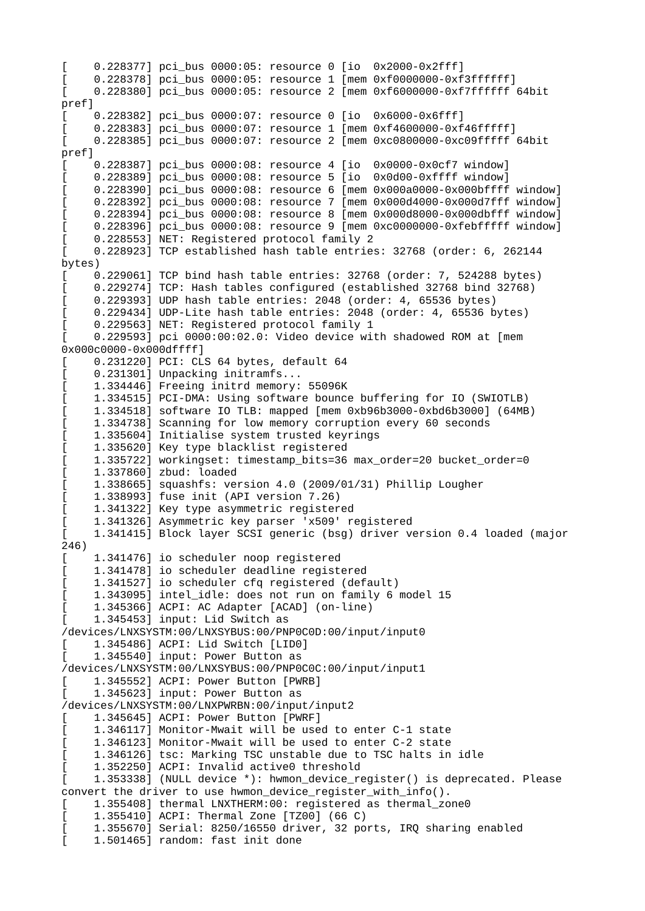0.228377] pci\_bus 0000:05: resource 0 [io 0x2000-0x2fff] 0.228378] pci\_bus 0000:05: resource 1 [mem 0xf0000000-0xf3ffffff] [ 0.228380] pci\_bus 0000:05: resource 2 [mem 0xf6000000-0xf7ffffff 64bit pref] 0.228382] pci\_bus 0000:07: resource 0 [io 0x6000-0x6fff] 0.228383] pci\_bus 0000:07: resource 1 [mem 0xf4600000-0xf46fffff] [ 0.228385] pci\_bus 0000:07: resource 2 [mem 0xc0800000-0xc09fffff 64bit pref] 0.228387] pci\_bus 0000:08: resource 4 [io 0x0000-0x0cf7 window] 0.228389] pci\_bus 0000:08: resource 5 [io 0x0d00-0xffff window] [ 0.228390] pci\_bus 0000:08: resource 6 [mem 0x000a0000-0x000bffff window] [ 0.228392] pci\_bus 0000:08: resource 7 [mem 0x000d4000-0x000d7fff window] [ 0.228394] pci\_bus 0000:08: resource 8 [mem 0x000d8000-0x000dbfff window] [ 0.228396] pci\_bus 0000:08: resource 9 [mem 0xc0000000-0xfebfffff window] 0.228553] NET: Registered protocol family 2 [ 0.228923] TCP established hash table entries: 32768 (order: 6, 262144 bytes) [ 0.229061] TCP bind hash table entries: 32768 (order: 7, 524288 bytes) [ 0.229274] TCP: Hash tables configured (established 32768 bind 32768) [ 0.229393] UDP hash table entries: 2048 (order: 4, 65536 bytes) [ 0.229434] UDP-Lite hash table entries: 2048 (order: 4, 65536 bytes) 0.229563] NET: Registered protocol family 1 [ 0.229593] pci 0000:00:02.0: Video device with shadowed ROM at [mem 0x000c0000-0x000dffff] [ 0.231220] PCI: CLS 64 bytes, default 64 0.231301] Unpacking initramfs...  $1.334446$ ] Freeing initrd memory: 55096K [ 1.334515] PCI-DMA: Using software bounce buffering for IO (SWIOTLB) [ 1.334518] software IO TLB: mapped [mem 0xb96b3000-0xbd6b3000] (64MB) 1.334738] Scanning for low memory corruption every 60 seconds 1.335604] Initialise system trusted keyrings 1.335620] Key type blacklist registered [ 1.335722] workingset: timestamp\_bits=36 max\_order=20 bucket\_order=0 [ 1.337860] zbud: loaded [ 1.338665] squashfs: version 4.0 (2009/01/31) Phillip Lougher  $1.338993$ ] fuse init (API version  $7.26$ ) 1.341322] Key type asymmetric registered 1.341326] Asymmetric key parser 'x509' registered 1.341415] Block layer SCSI generic (bsg) driver version 0.4 loaded (major 246) [ 1.341476] io scheduler noop registered [ 1.341478] io scheduler deadline registered [ 1.341527] io scheduler cfq registered (default) [ 1.343095] intel\_idle: does not run on family 6 model 15 [ 1.345366] ACPI: AC Adapter [ACAD] (on-line) [ 1.345453] input: Lid Switch as /devices/LNXSYSTM:00/LNXSYBUS:00/PNP0C0D:00/input/input0 [ 1.345486] ACPI: Lid Switch [LID0] 1.345540] input: Power Button as /devices/LNXSYSTM:00/LNXSYBUS:00/PNP0C0C:00/input/input1 [ 1.345552] ACPI: Power Button [PWRB] 1.345623] input: Power Button as /devices/LNXSYSTM:00/LNXPWRBN:00/input/input2 1.345645] ACPI: Power Button [PWRF] 1.346117] Monitor-Mwait will be used to enter C-1 state  $1.346123$ ] Monitor-Mwait will be used to enter C-2 state 1.346126] tsc: Marking TSC unstable due to TSC halts in idle 1.352250] ACPI: Invalid active0 threshold [ 1.353338] (NULL device \*): hwmon\_device\_register() is deprecated. Please convert the driver to use hwmon\_device\_register\_with\_info(). 1.355408] thermal LNXTHERM:00: registered as thermal\_zone0 [ 1.355410] ACPI: Thermal Zone [TZ00] (66 C) [ 1.355670] Serial: 8250/16550 driver, 32 ports, IRQ sharing enabled [ 1.501465] random: fast init done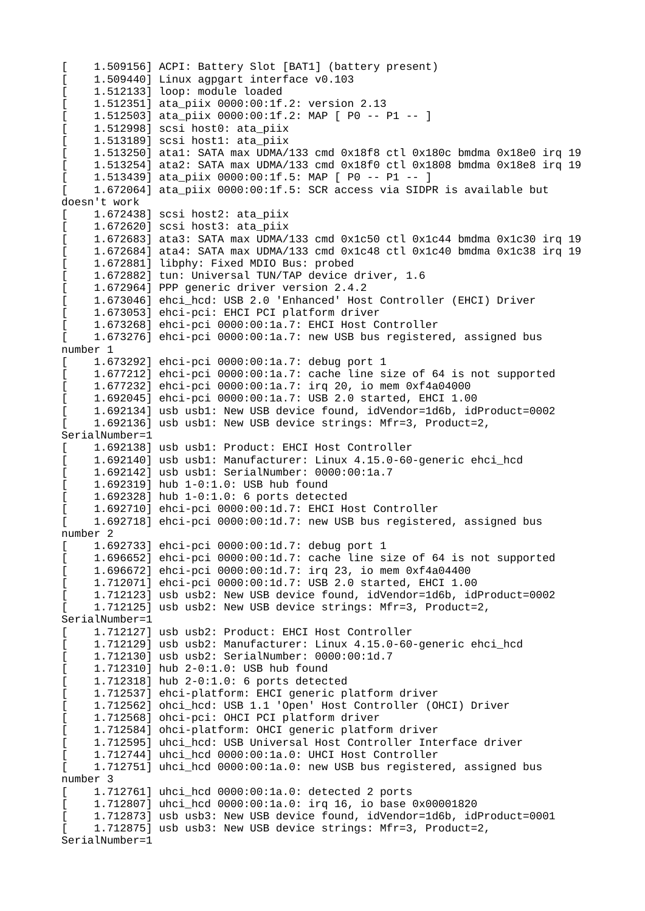1.509156] ACPI: Battery Slot [BAT1] (battery present) [ 1.509440] Linux agpgart interface v0.103 [ 1.512133] loop: module loaded [ 1.512351] ata\_piix 0000:00:1f.2: version 2.13 [ 1.512503] ata\_piix 0000:00:1f.2: MAP [ P0 -- P1 -- ] [ 1.512998] scsi host0: ata\_piix [ 1.513189] scsi host1: ata\_piix [ 1.513250] ata1: SATA max UDMA/133 cmd 0x18f8 ctl 0x180c bmdma 0x18e0 irq 19 [ 1.513254] ata2: SATA max UDMA/133 cmd 0x18f0 ctl 0x1808 bmdma 0x18e8 irq 19 1.513439] ata\_piix 0000:00:1f.5: MAP [ P0 -- P1 -- ] [ 1.672064] ata\_piix 0000:00:1f.5: SCR access via SIDPR is available but doesn't work [ 1.672438] scsi host2: ata\_piix [ 1.672620] scsi host3: ata\_piix [ 1.672683] ata3: SATA max UDMA/133 cmd 0x1c50 ctl 0x1c44 bmdma 0x1c30 irq 19 [ 1.672684] ata4: SATA max UDMA/133 cmd 0x1c48 ctl 0x1c40 bmdma 0x1c38 irq 19 1.672881] libphy: Fixed MDIO Bus: probed 1.672882] tun: Universal TUN/TAP device driver, 1.6 [ 1.672964] PPP generic driver version 2.4.2 [ 1.673046] ehci\_hcd: USB 2.0 'Enhanced' Host Controller (EHCI) Driver 1.673053] ehci-pci: EHCI PCI platform driver [ 1.673268] ehci-pci 0000:00:1a.7: EHCI Host Controller [ 1.673276] ehci-pci 0000:00:1a.7: new USB bus registered, assigned bus number 1 [ 1.673292] ehci-pci 0000:00:1a.7: debug port 1 [ 1.677212] ehci-pci 0000:00:1a.7: cache line size of 64 is not supported [ 1.677232] ehci-pci 0000:00:1a.7: irq 20, io mem 0xf4a04000 [ 1.692045] ehci-pci 0000:00:1a.7: USB 2.0 started, EHCI 1.00 [ 1.692134] usb usb1: New USB device found, idVendor=1d6b, idProduct=0002 1.692136] usb usb1: New USB device strings: Mfr=3, Product=2, SerialNumber=1 [ 1.692138] usb usb1: Product: EHCI Host Controller [ 1.692140] usb usb1: Manufacturer: Linux 4.15.0-60-generic ehci\_hcd [ 1.692142] usb usb1: SerialNumber: 0000:00:1a.7  $1.692319$ ] hub  $1-0:1.0$ : USB hub found  $1.692328$ ] hub  $1-0:1.0$ : 6 ports detected [ 1.692710] ehci-pci 0000:00:1d.7: EHCI Host Controller 1.692718] ehci-pci 0000:00:1d.7: new USB bus registered, assigned bus number 2 [ 1.692733] ehci-pci 0000:00:1d.7: debug port 1 [ 1.696652] ehci-pci 0000:00:1d.7: cache line size of 64 is not supported [ 1.696672] ehci-pci 0000:00:1d.7: irq 23, io mem 0xf4a04400 [ 1.712071] ehci-pci 0000:00:1d.7: USB 2.0 started, EHCI 1.00 [ 1.712123] usb usb2: New USB device found, idVendor=1d6b, idProduct=0002 [ 1.712125] usb usb2: New USB device strings: Mfr=3, Product=2, SerialNumber=1 [ 1.712127] usb usb2: Product: EHCI Host Controller  $\begin{bmatrix} 1 & 1.712129 \end{bmatrix}$  usb usb2: Manufacturer: Linux 4.15.0-60-generic ehci\_hcd [ 1.712130] usb usb2: SerialNumber: 0000:00:1d.7  $1.712310$ ] hub  $2-0:1.0$ : USB hub found  $1.712318$ ] hub  $2-0:1.0:$  6 ports detected 1.712537] ehci-platform: EHCI generic platform driver [ 1.712562] ohci\_hcd: USB 1.1 'Open' Host Controller (OHCI) Driver [ 1.712568] ohci-pci: OHCI PCI platform driver 1.712584] ohci-platform: OHCI generic platform driver 1.712595] uhci\_hcd: USB Universal Host Controller Interface driver [ 1.712744] uhci\_hcd 0000:00:1a.0: UHCI Host Controller [ 1.712751] uhci\_hcd 0000:00:1a.0: new USB bus registered, assigned bus number 3 [ 1.712761] uhci\_hcd 0000:00:1a.0: detected 2 ports [ 1.712807] uhci\_hcd 0000:00:1a.0: irq 16, io base 0x00001820 [ 1.712873] usb usb3: New USB device found, idVendor=1d6b, idProduct=0001 [ 1.712875] usb usb3: New USB device strings: Mfr=3, Product=2, SerialNumber=1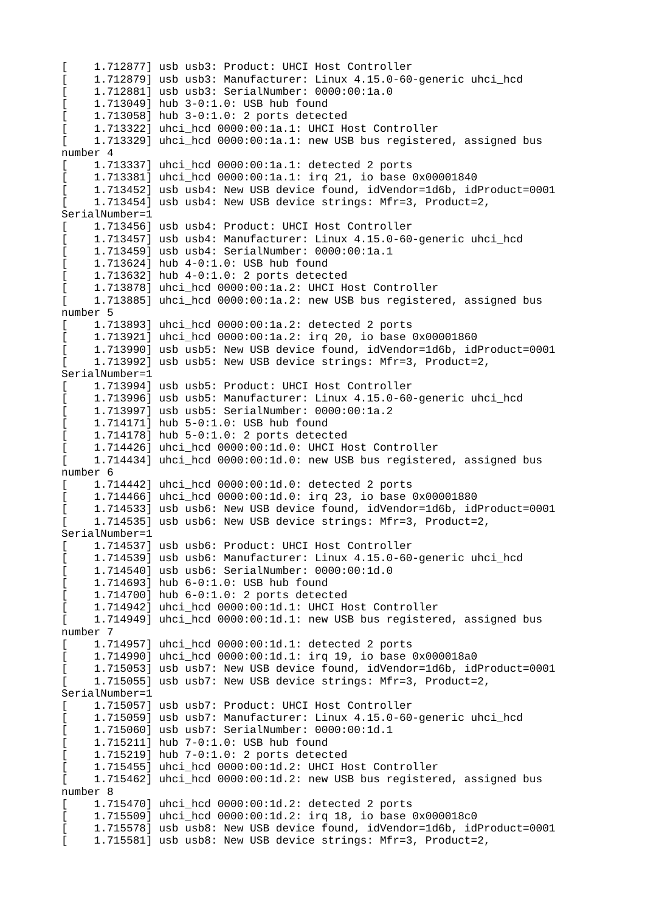[ 1.712877] usb usb3: Product: UHCI Host Controller [ 1.712879] usb usb3: Manufacturer: Linux 4.15.0-60-generic uhci\_hcd [ 1.712881] usb usb3: SerialNumber: 0000:00:1a.0 [ 1.713049] hub 3-0:1.0: USB hub found [ 1.713058] hub 3-0:1.0: 2 ports detected  $1.713322$ ] uhci\_hcd  $0000:00:1a.1$ : UHCI Host Controller [ 1.713329] uhci\_hcd 0000:00:1a.1: new USB bus registered, assigned bus number 4 [ 1.713337] uhci\_hcd 0000:00:1a.1: detected 2 ports  $\begin{bmatrix} 1.713381 \end{bmatrix}$  uhci\_hcd 0000:00:1a.1: irq 21, io base 0x00001840 [ 1.713452] usb usb4: New USB device found, idVendor=1d6b, idProduct=0001  $\begin{bmatrix} 1.713454 \end{bmatrix}$  usb usb4: New USB device strings: Mfr=3, Product=2, SerialNumber=1 1.713456] usb usb4: Product: UHCI Host Controller [ 1.713457] usb usb4: Manufacturer: Linux 4.15.0-60-generic uhci\_hcd [ 1.713459] usb usb4: SerialNumber: 0000:00:1a.1 [ 1.713624] hub 4-0:1.0: USB hub found [ 1.713632] hub 4-0:1.0: 2 ports detected 1.713878] uhci\_hcd 0000:00:1a.2: UHCI Host Controller [ 1.713885] uhci\_hcd 0000:00:1a.2: new USB bus registered, assigned bus number 5 [ 1.713893] uhci\_hcd 0000:00:1a.2: detected 2 ports [ 1.713921] uhci\_hcd 0000:00:1a.2: irq 20, io base 0x00001860 [ 1.713990] usb usb5: New USB device found, idVendor=1d6b, idProduct=0001 [ 1.713992] usb usb5: New USB device strings: Mfr=3, Product=2, SerialNumber=1 [ 1.713994] usb usb5: Product: UHCI Host Controller 1.713996] usb usb5: Manufacturer: Linux 4.15.0-60-generic uhci\_hcd [ 1.713997] usb usb5: SerialNumber: 0000:00:1a.2  $1.714171$ ] hub  $5-0:1.0$ : USB hub found  $1.714178$ ] hub  $5-0:1.0$ : 2 ports detected [ 1.714426] uhci\_hcd 0000:00:1d.0: UHCI Host Controller [ 1.714434] uhci\_hcd 0000:00:1d.0: new USB bus registered, assigned bus number 6 [ 1.714442] uhci\_hcd 0000:00:1d.0: detected 2 ports [ 1.714466] uhci\_hcd 0000:00:1d.0: irq 23, io base 0x00001880 [ 1.714533] usb usb6: New USB device found, idVendor=1d6b, idProduct=0001 1.714535] usb usb6: New USB device strings: Mfr=3, Product=2, SerialNumber=1 1.714537] usb usb6: Product: UHCI Host Controller 1.714539] usb usb6: Manufacturer: Linux 4.15.0-60-generic uhci\_hcd [ 1.714540] usb usb6: SerialNumber: 0000:00:1d.0 [ 1.714693] hub 6-0:1.0: USB hub found [ 1.714700] hub 6-0:1.0: 2 ports detected [ 1.714942] uhci\_hcd 0000:00:1d.1: UHCI Host Controller [ 1.714949] uhci\_hcd 0000:00:1d.1: new USB bus registered, assigned bus number 7 [ 1.714957] uhci\_hcd 0000:00:1d.1: detected 2 ports [ 1.714990] uhci\_hcd 0000:00:1d.1: irq 19, io base 0x000018a0 [ 1.715053] usb usb7: New USB device found, idVendor=1d6b, idProduct=0001 1.715055] usb usb7: New USB device strings: Mfr=3, Product=2, SerialNumber=1 1.715057] usb usb7: Product: UHCI Host Controller  $1.715059$ ] usb usb7: Manufacturer: Linux  $4.15.0-60$ -generic uhci\_hcd [ 1.715060] usb usb7: SerialNumber: 0000:00:1d.1  $1.715211$ ] hub  $7-0:1.0$ : USB hub found [ 1.715219] hub 7-0:1.0: 2 ports detected [ 1.715455] uhci\_hcd 0000:00:1d.2: UHCI Host Controller [ 1.715462] uhci\_hcd 0000:00:1d.2: new USB bus registered, assigned bus number 8 [ 1.715470] uhci\_hcd 0000:00:1d.2: detected 2 ports [ 1.715509] uhci\_hcd 0000:00:1d.2: irq 18, io base 0x000018c0 [ 1.715578] usb usb8: New USB device found, idVendor=1d6b, idProduct=0001 [ 1.715581] usb usb8: New USB device strings: Mfr=3, Product=2,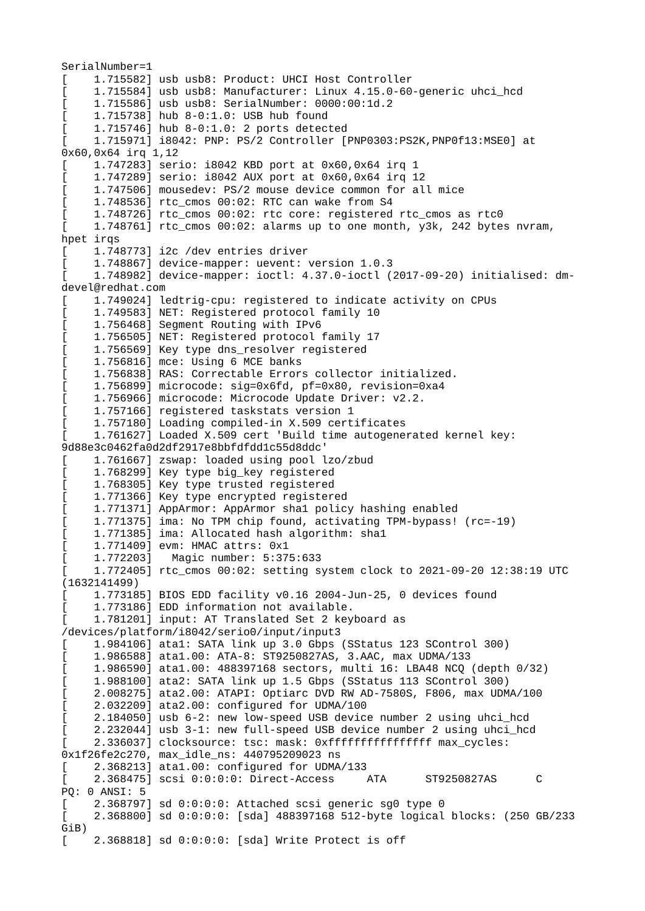SerialNumber=1 1.715582] usb usb8: Product: UHCI Host Controller 1.715584] usb usb8: Manufacturer: Linux 4.15.0-60-generic uhci\_hcd [ 1.715586] usb usb8: SerialNumber: 0000:00:1d.2 [ 1.715738] hub 8-0:1.0: USB hub found  $1.715746$ ] hub 8-0:1.0: 2 ports detected [ 1.715971] i8042: PNP: PS/2 Controller [PNP0303:PS2K,PNP0f13:MSE0] at 0x60,0x64 irq 1,12 [ 1.747283] serio: i8042 KBD port at 0x60,0x64 irq 1 [ 1.747289] serio: i8042 AUX port at 0x60,0x64 irq 12 1.747506] mousedev: PS/2 mouse device common for all mice [ 1.748536] rtc\_cmos 00:02: RTC can wake from S4 [ 1.748726] rtc\_cmos 00:02: rtc core: registered rtc\_cmos as rtc0 [ 1.748761] rtc\_cmos 00:02: alarms up to one month, y3k, 242 bytes nvram, hpet irqs [ 1.748773] i2c /dev entries driver [ 1.748867] device-mapper: uevent: version 1.0.3 [ 1.748982] device-mapper: ioctl: 4.37.0-ioctl (2017-09-20) initialised: dmdevel@redhat.com [ 1.749024] ledtrig-cpu: registered to indicate activity on CPUs 1.749583] NET: Registered protocol family 10 [ 1.756468] Segment Routing with IPv6 1.756505] NET: Registered protocol family 17 1.756569] Key type dns\_resolver registered [ 1.756816] mce: Using 6 MCE banks [ 1.756838] RAS: Correctable Errors collector initialized.  $1.756899$ ] microcode: sig=0x6fd, pf=0x80, revision=0xa4 1.756966] microcode: Microcode Update Driver: v2.2. 1.757166] registered taskstats version 1 1.757180] Loading compiled-in X.509 certificates 1.761627] Loaded X.509 cert 'Build time autogenerated kernel key: 9d88e3c0462fa0d2df2917e8bbfdfdd1c55d8ddc' [ 1.761667] zswap: loaded using pool lzo/zbud [ 1.768299] Key type big\_key registered 1.768305] Key type trusted registered 1.771366] Key type encrypted registered 1.771371] AppArmor: AppArmor sha1 policy hashing enabled 1.771375] ima: No TPM chip found, activating TPM-bypass! (rc=-19) 1.771385] ima: Allocated hash algorithm: sha1 [ 1.771409] evm: HMAC attrs: 0x1 [ 1.772203] Magic number: 5:375:633 [ 1.772405] rtc\_cmos 00:02: setting system clock to 2021-09-20 12:38:19 UTC (1632141499) 1.773185] BIOS EDD facility v0.16 2004-Jun-25, 0 devices found [ 1.773186] EDD information not available. [ 1.781201] input: AT Translated Set 2 keyboard as /devices/platform/i8042/serio0/input/input3 [ 1.984106] ata1: SATA link up 3.0 Gbps (SStatus 123 SControl 300) [ 1.986588] ata1.00: ATA-8: ST9250827AS, 3.AAC, max UDMA/133 [ 1.986590] ata1.00: 488397168 sectors, multi 16: LBA48 NCQ (depth 0/32) [ 1.988100] ata2: SATA link up 1.5 Gbps (SStatus 113 SControl 300) [ 2.008275] ata2.00: ATAPI: Optiarc DVD RW AD-7580S, F806, max UDMA/100 [ 2.032209] ata2.00: configured for UDMA/100 2.184050] usb 6-2: new low-speed USB device number 2 using uhci\_hcd 2.232044] usb 3-1: new full-speed USB device number 2 using uhci\_hcd 2.336037] clocksource: tsc: mask: 0xffffffffffffffffff max\_cycles: 0x1f26fe2c270, max\_idle\_ns: 440795209023 ns 2.368213] ata1.00: configured for UDMA/133<br>2.368475] scsi 0:0:0:0: Direct-Access ATA [ 2.368475] scsi 0:0:0:0: Direct-Access ATA ST9250827AS C PQ: 0 ANSI: 5 [ 2.368797] sd 0:0:0:0: Attached scsi generic sg0 type 0 [ 2.368800] sd 0:0:0:0: [sda] 488397168 512-byte logical blocks: (250 GB/233 GiB) [ 2.368818] sd 0:0:0:0: [sda] Write Protect is off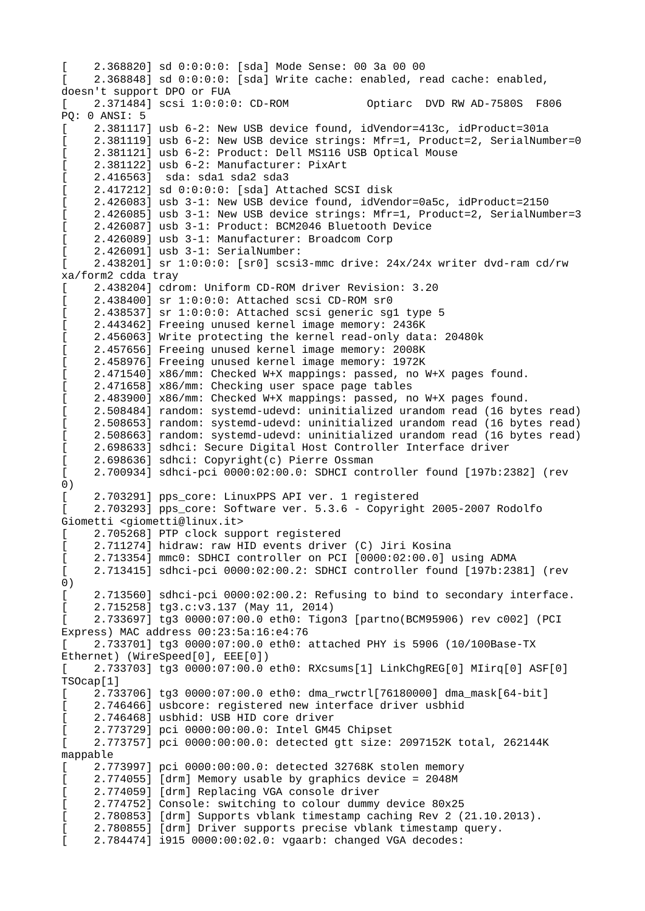[ 2.368820] sd 0:0:0:0: [sda] Mode Sense: 00 3a 00 00  $2.368848$ ] sd  $0:0:0:0$ : [sda] Write cache: enabled, read cache: enabled, doesn't support DPO or FUA [ 2.371484] scsi 1:0:0:0: CD-ROM Optiarc DVD RW AD-7580S F806 PQ: 0 ANSI: 5 [ 2.381117] usb 6-2: New USB device found, idVendor=413c, idProduct=301a 2.381119] usb 6-2: New USB device strings: Mfr=1, Product=2, SerialNumber=0  $2.381121$ ] usb 6-2: Product: Dell MS116 USB Optical Mouse [ 2.381122] usb 6-2: Manufacturer: PixArt [ 2.416563] sda: sda1 sda2 sda3  $2.417212$ ] sd  $0:0:0:0$ : [sda] Attached SCSI disk [ 2.426083] usb 3-1: New USB device found, idVendor=0a5c, idProduct=2150 2.426085] usb 3-1: New USB device strings: Mfr=1, Product=2, SerialNumber=3 [ 2.426087] usb 3-1: Product: BCM2046 Bluetooth Device [ 2.426089] usb 3-1: Manufacturer: Broadcom Corp [ 2.426091] usb 3-1: SerialNumber: [ 2.438201] sr 1:0:0:0: [sr0] scsi3-mmc drive: 24x/24x writer dvd-ram cd/rw xa/form2 cdda tray [ 2.438204] cdrom: Uniform CD-ROM driver Revision: 3.20 [ 2.438400] sr 1:0:0:0: Attached scsi CD-ROM sr0 [ 2.438537] sr 1:0:0:0: Attached scsi generic sg1 type 5 2.443462] Freeing unused kernel image memory: 2436K 2.456063] Write protecting the kernel read-only data: 20480k 2.457656] Freeing unused kernel image memory: 2008K [ 2.458976] Freeing unused kernel image memory: 1972K [ 2.471540] x86/mm: Checked W+X mappings: passed, no W+X pages found. 2.471658] x86/mm: Checking user space page tables [ 2.483900] x86/mm: Checked W+X mappings: passed, no W+X pages found. 2.508484] random: systemd-udevd: uninitialized urandom read (16 bytes read) 2.508653] random: systemd-udevd: uninitialized urandom read (16 bytes read) 2.508663] random: systemd-udevd: uninitialized urandom read (16 bytes read) 2.698633] sdhci: Secure Digital Host Controller Interface driver 2.698636] sdhci: Copyright(c) Pierre Ossman [ 2.700934] sdhci-pci 0000:02:00.0: SDHCI controller found [197b:2382] (rev 0) 2.703291] pps\_core: LinuxPPS API ver. 1 registered [ 2.703293] pps\_core: Software ver. 5.3.6 - Copyright 2005-2007 Rodolfo Giometti <giometti@linux.it> [ 2.705268] PTP clock support registered [ 2.711274] hidraw: raw HID events driver (C) Jiri Kosina [ 2.713354] mmc0: SDHCI controller on PCI [0000:02:00.0] using ADMA [ 2.713415] sdhci-pci 0000:02:00.2: SDHCI controller found [197b:2381] (rev 0) [ 2.713560] sdhci-pci 0000:02:00.2: Refusing to bind to secondary interface. [ 2.715258] tg3.c:v3.137 (May 11, 2014) [ 2.733697] tg3 0000:07:00.0 eth0: Tigon3 [partno(BCM95906) rev c002] (PCI Express) MAC address 00:23:5a:16:e4:76 [ 2.733701] tg3 0000:07:00.0 eth0: attached PHY is 5906 (10/100Base-TX Ethernet) (WireSpeed[0], EEE[0]) [ 2.733703] tg3 0000:07:00.0 eth0: RXcsums[1] LinkChgREG[0] MIirq[0] ASF[0] TSOcap[1] [ 2.733706] tg3 0000:07:00.0 eth0: dma\_rwctrl[76180000] dma\_mask[64-bit] 2.746466] usbcore: registered new interface driver usbhid 2.746468] usbhid: USB HID core driver [ 2.773729] pci 0000:00:00.0: Intel GM45 Chipset  $\begin{bmatrix} 2.773757 \end{bmatrix}$  pci 0000:00:00.0: detected gtt size: 2097152K total, 262144K mappable [ 2.773997] pci 0000:00:00.0: detected 32768K stolen memory [ 2.774055] [drm] Memory usable by graphics device = 2048M [ 2.774059] [drm] Replacing VGA console driver [ 2.774752] Console: switching to colour dummy device 80x25 [ 2.780853] [drm] Supports vblank timestamp caching Rev 2 (21.10.2013). [ 2.780855] [drm] Driver supports precise vblank timestamp query. [ 2.784474] i915 0000:00:02.0: vgaarb: changed VGA decodes: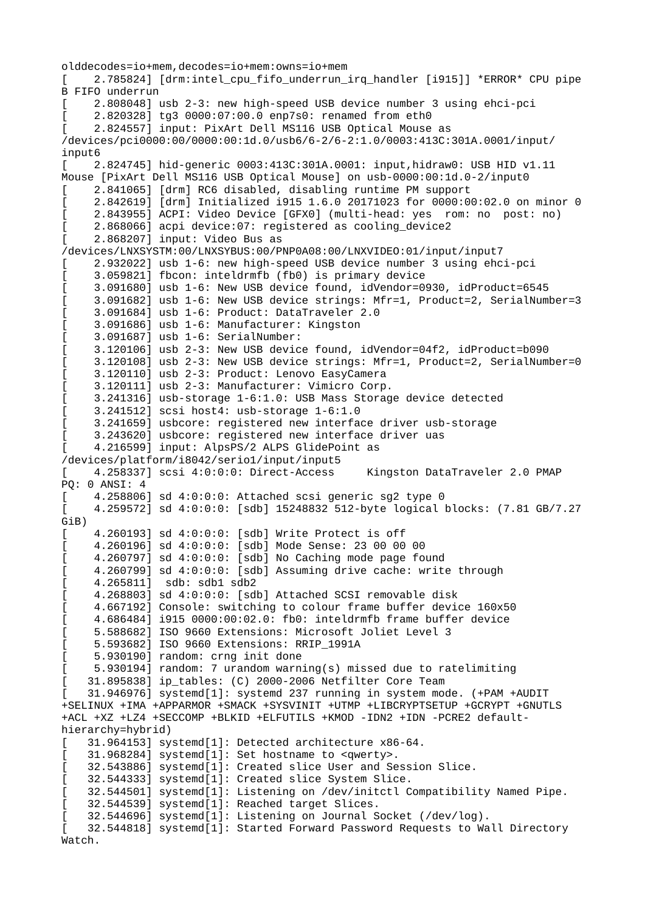olddecodes=io+mem,decodes=io+mem:owns=io+mem 2.785824] [drm:intel cpu fifo underrun irq handler [i915]] \*ERROR\* CPU pipe B FIFO underrun [ 2.808048] usb 2-3: new high-speed USB device number 3 using ehci-pci 2.820328] tg3 0000:07:00.0 enp7s0: renamed from eth0 2.8245571 input: PixArt Dell MS116 USB Optical Mouse as /devices/pci0000:00/0000:00:1d.0/usb6/6-2/6-2:1.0/0003:413C:301A.0001/input/ input6 [ 2.824745] hid-generic 0003:413C:301A.0001: input,hidraw0: USB HID v1.11 Mouse [PixArt Dell MS116 USB Optical Mouse] on usb-0000:00:1d.0-2/input0 [ 2.841065] [drm] RC6 disabled, disabling runtime PM support [ 2.842619] [drm] Initialized i915 1.6.0 20171023 for 0000:00:02.0 on minor 0 [ 2.843955] ACPI: Video Device [GFX0] (multi-head: yes rom: no post: no) [ 2.868066] acpi device:07: registered as cooling\_device2 [ 2.868207] input: Video Bus as /devices/LNXSYSTM:00/LNXSYBUS:00/PNP0A08:00/LNXVIDEO:01/input/input7 [ 2.932022] usb 1-6: new high-speed USB device number 3 using ehci-pci [ 3.059821] fbcon: inteldrmfb (fb0) is primary device [ 3.091680] usb 1-6: New USB device found, idVendor=0930, idProduct=6545 [ 3.091682] usb 1-6: New USB device strings: Mfr=1, Product=2, SerialNumber=3 [ 3.091684] usb 1-6: Product: DataTraveler 2.0 [ 3.091686] usb 1-6: Manufacturer: Kingston [ 3.091687] usb 1-6: SerialNumber: [ 3.120106] usb 2-3: New USB device found, idVendor=04f2, idProduct=b090 [ 3.120108] usb 2-3: New USB device strings: Mfr=1, Product=2, SerialNumber=0 [ 3.120110] usb 2-3: Product: Lenovo EasyCamera [ 3.120111] usb 2-3: Manufacturer: Vimicro Corp. [ 3.241316] usb-storage 1-6:1.0: USB Mass Storage device detected [ 3.241512] scsi host4: usb-storage 1-6:1.0 3.241659] usbcore: registered new interface driver usb-storage [ 3.243620] usbcore: registered new interface driver uas 4.216599] input: AlpsPS/2 ALPS GlidePoint as /devices/platform/i8042/serio1/input/input5 [ 4.258337] scsi 4:0:0:0: Direct-Access Kingston DataTraveler 2.0 PMAP PQ: 0 ANSI: 4 [ 4.258806] sd 4:0:0:0: Attached scsi generic sg2 type 0 [ 4.259572] sd 4:0:0:0: [sdb] 15248832 512-byte logical blocks: (7.81 GB/7.27 GiB) [ 4.260193] sd 4:0:0:0: [sdb] Write Protect is off [ 4.260196] sd 4:0:0:0: [sdb] Mode Sense: 23 00 00 00 [ 4.260797] sd 4:0:0:0: [sdb] No Caching mode page found 4.260799] sd 4:0:0:0: [sdb] Assuming drive cache: write through [ 4.265811] sdb: sdb1 sdb2 [ 4.268803] sd 4:0:0:0: [sdb] Attached SCSI removable disk [ 4.667192] Console: switching to colour frame buffer device 160x50 [ 4.686484] i915 0000:00:02.0: fb0: inteldrmfb frame buffer device [ 5.588682] ISO 9660 Extensions: Microsoft Joliet Level 3 [ 5.593682] ISO 9660 Extensions: RRIP\_1991A [ 5.930190] random: crng init done [ 5.930194] random: 7 urandom warning(s) missed due to ratelimiting [ 31.895838] ip\_tables: (C) 2000-2006 Netfilter Core Team 31.946976] systemd[1]: systemd 237 running in system mode. (+PAM +AUDIT +SELINUX +IMA +APPARMOR +SMACK +SYSVINIT +UTMP +LIBCRYPTSETUP +GCRYPT +GNUTLS +ACL +XZ +LZ4 +SECCOMP +BLKID +ELFUTILS +KMOD -IDN2 +IDN -PCRE2 defaulthierarchy=hybrid) [ 31.964153] systemd[1]: Detected architecture x86-64. [ 31.968284] systemd[1]: Set hostname to <qwerty>. 32.543886] systemd[1]: Created slice User and Session Slice. [ 32.544333] systemd[1]: Created slice System Slice. 32.544501] systemd[1]: Listening on /dev/initctl Compatibility Named Pipe. [ 32.544539] systemd[1]: Reached target Slices. [ 32.544696] systemd[1]: Listening on Journal Socket (/dev/log). [ 32.544818] systemd[1]: Started Forward Password Requests to Wall Directory Watch.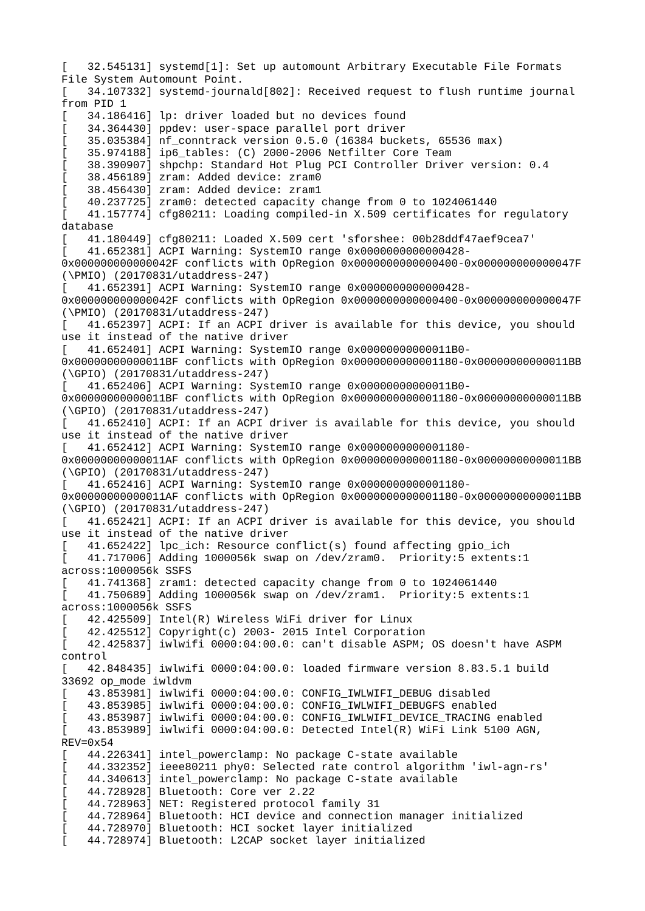[ 32.545131] systemd[1]: Set up automount Arbitrary Executable File Formats File System Automount Point. [ 34.107332] systemd-journald[802]: Received request to flush runtime journal from PID 1 34.186416] lp: driver loaded but no devices found 34.364430] ppdev: user-space parallel port driver [ 35.035384] nf\_conntrack version 0.5.0 (16384 buckets, 65536 max) [ 35.974188] ip6\_tables: (C) 2000-2006 Netfilter Core Team [ 38.390907] shpchp: Standard Hot Plug PCI Controller Driver version: 0.4 [ 38.456189] zram: Added device: zram0 [ 38.456430] zram: Added device: zram1 [ 40.237725] zram0: detected capacity change from 0 to 1024061440 [ 41.157774] cfg80211: Loading compiled-in X.509 certificates for regulatory database [ 41.180449] cfg80211: Loaded X.509 cert 'sforshee: 00b28ddf47aef9cea7' [ 41.652381] ACPI Warning: SystemIO range 0x0000000000000428- 0x000000000000042F conflicts with OpRegion 0x0000000000000400-0x000000000000047F (\PMIO) (20170831/utaddress-247) [ 41.652391] ACPI Warning: SystemIO range 0x0000000000000428- 0x000000000000042F conflicts with OpRegion 0x0000000000000400-0x000000000000047F (\PMIO) (20170831/utaddress-247) [ 41.652397] ACPI: If an ACPI driver is available for this device, you should use it instead of the native driver [ 41.652401] ACPI Warning: SystemIO range 0x00000000000011B0- 0x00000000000011BF conflicts with OpRegion 0x0000000000001180-0x00000000000011BB (\GPIO) (20170831/utaddress-247) [ 41.652406] ACPI Warning: SystemIO range 0x00000000000011B0- 0x00000000000011BF conflicts with OpRegion 0x0000000000001180-0x00000000000011BB (\GPIO) (20170831/utaddress-247) 41.652410] ACPI: If an ACPI driver is available for this device, you should use it instead of the native driver [ 41.652412] ACPI Warning: SystemIO range 0x0000000000001180- 0x00000000000011AF conflicts with OpRegion 0x0000000000001180-0x00000000000011BB (\GPIO) (20170831/utaddress-247) [ 41.652416] ACPI Warning: SystemIO range 0x0000000000001180- 0x00000000000011AF conflicts with OpRegion 0x0000000000001180-0x00000000000011BB (\GPIO) (20170831/utaddress-247) 41.652421] ACPI: If an ACPI driver is available for this device, you should use it instead of the native driver [ 41.652422] lpc\_ich: Resource conflict(s) found affecting gpio\_ich [ 41.717006] Adding 1000056k swap on /dev/zram0. Priority:5 extents:1 across:1000056k SSFS [ 41.741368] zram1: detected capacity change from 0 to 1024061440 [ 41.750689] Adding 1000056k swap on /dev/zram1. Priority:5 extents:1 across:1000056k SSFS [ 42.425509] Intel(R) Wireless WiFi driver for Linux [ 42.425512] Copyright(c) 2003- 2015 Intel Corporation [ 42.425837] iwlwifi 0000:04:00.0: can't disable ASPM; OS doesn't have ASPM control [ 42.848435] iwlwifi 0000:04:00.0: loaded firmware version 8.83.5.1 build 33692 op\_mode iwldvm [ 43.853981] iwlwifi 0000:04:00.0: CONFIG\_IWLWIFI\_DEBUG disabled [ 43.853985] iwlwifi 0000:04:00.0: CONFIG\_IWLWIFI\_DEBUGFS enabled [ 43.853987] iwlwifi 0000:04:00.0: CONFIG\_IWLWIFI\_DEVICE\_TRACING enabled [ 43.853989] iwlwifi 0000:04:00.0: Detected Intel(R) WiFi Link 5100 AGN,  $REV = 0x54$ 44.226341] intel\_powerclamp: No package C-state available [ 44.332352] ieee80211 phy0: Selected rate control algorithm 'iwl-agn-rs' 44.340613] intel\_powerclamp: No package C-state available [ 44.728928] Bluetooth: Core ver 2.22 [ 44.728963] NET: Registered protocol family 31 [ 44.728964] Bluetooth: HCI device and connection manager initialized [ 44.728970] Bluetooth: HCI socket layer initialized [ 44.728974] Bluetooth: L2CAP socket layer initialized